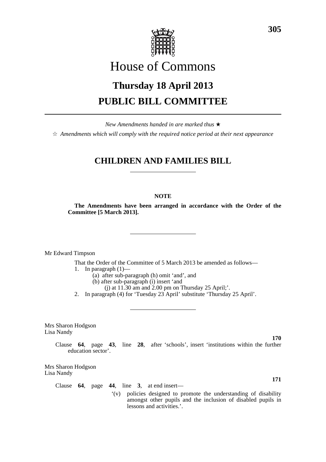

# House of Commons

# **Thursday 18 April 2013 PUBLIC BILL COMMITTEE**

*New Amendments handed in are marked thus* \*

 $\dot{\varphi}$  *Amendments which will comply with the required notice period at their next appearance* 

## **CHILDREN AND FAMILIES BILL**

### **NOTE**

**The Amendments have been arranged in accordance with the Order of the Committee [5 March 2013].**

Mr Edward Timpson

That the Order of the Committee of 5 March 2013 be amended as follows— 1. In paragraph  $(1)$ —

(a) after sub-paragraph (h) omit 'and', and

- (b) after sub-paragraph (i) insert 'and
- $(i)$  at 11.30 am and 2.00 pm on Thursday 25 April;'.

2. In paragraph (4) for 'Tuesday 23 April' substitute 'Thursday 25 April'.

Mrs Sharon Hodgson Lisa Nandy

> Clause **64**, page **43**, line **28**, after 'schools', insert 'institutions within the further education sector'.

Mrs Sharon Hodgson Lisa Nandy

Clause **64**, page **44**, line **3**, at end insert—

'(v) policies designed to promote the understanding of disability amongst other pupils and the inclusion of disabled pupils in lessons and activities.'.

**305**

**170**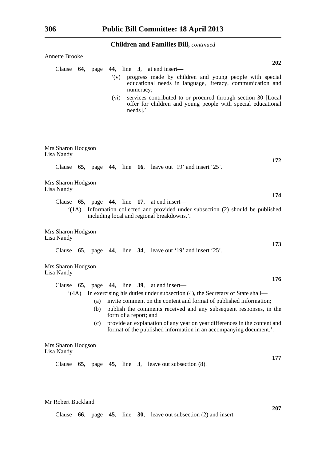| <b>Annette Brooke</b><br><b>202</b>                                                                                                                                                                                                                                                                                                                                                                                              |
|----------------------------------------------------------------------------------------------------------------------------------------------------------------------------------------------------------------------------------------------------------------------------------------------------------------------------------------------------------------------------------------------------------------------------------|
| Clause $64$ , page $44$ , line 3, at end insert—<br>progress made by children and young people with special<br>$\dot{v}(v)$<br>educational needs in language, literacy, communication and<br>numeracy;<br>services contributed to or procured through section 30 [Local<br>(vi)<br>offer for children and young people with special educational<br>$needs$ ].'.                                                                  |
| Mrs Sharon Hodgson<br>Lisa Nandy                                                                                                                                                                                                                                                                                                                                                                                                 |
| 172<br>Clause $65$ , page 44, line 16, leave out '19' and insert '25'.                                                                                                                                                                                                                                                                                                                                                           |
| Mrs Sharon Hodgson<br>Lisa Nandy                                                                                                                                                                                                                                                                                                                                                                                                 |
| 174<br>Clause $65$ , page $44$ , line 17, at end insert—<br>Information collected and provided under subsection (2) should be published<br>(1A)<br>including local and regional breakdowns.'.                                                                                                                                                                                                                                    |
| Mrs Sharon Hodgson<br>Lisa Nandy<br>173                                                                                                                                                                                                                                                                                                                                                                                          |
| Clause $65$ , page 44, line 34, leave out '19' and insert '25'.                                                                                                                                                                                                                                                                                                                                                                  |
| Mrs Sharon Hodgson<br>Lisa Nandy                                                                                                                                                                                                                                                                                                                                                                                                 |
| 176<br>Clause $65$ , page $44$ , line $39$ , at end insert—                                                                                                                                                                                                                                                                                                                                                                      |
| $(4A)$ In exercising his duties under subsection (4), the Secretary of State shall—<br>invite comment on the content and format of published information;<br>(a)<br>publish the comments received and any subsequent responses, in the<br>(b)<br>form of a report; and<br>provide an explanation of any year on year differences in the content and<br>(c)<br>format of the published information in an accompanying document.'. |
| Mrs Sharon Hodgson<br>Lisa Nandy<br>177                                                                                                                                                                                                                                                                                                                                                                                          |
| 65, page 45, line 3, leave out subsection $(8)$ .<br>Clause                                                                                                                                                                                                                                                                                                                                                                      |

Mr Robert Buckland

Clause **66**, page **45**, line **30**, leave out subsection (2) and insert—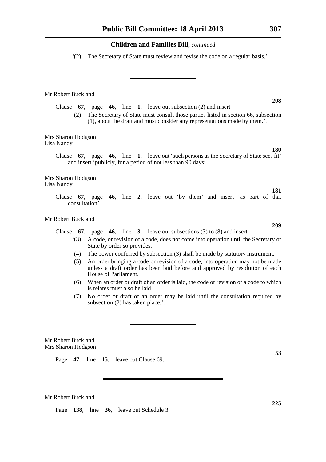'(2) The Secretary of State must review and revise the code on a regular basis.'.

Mr Robert Buckland

Clause **67**, page **46**, line **1**, leave out subsection (2) and insert—

'(2) The Secretary of State must consult those parties listed in section 66, subsection (1), about the draft and must consider any representations made by them.'.

Mrs Sharon Hodgson Lisa Nandy

> Clause **67**, page **46**, line **1**, leave out 'such persons as the Secretary of State sees fit' and insert 'publicly, for a period of not less than 90 days'.

Mrs Sharon Hodgson Lisa Nandy

> Clause **67**, page **46**, line **2**, leave out 'by them' and insert 'as part of that consultation'.

Mr Robert Buckland

Clause **67**, page **46**, line **3**, leave out subsections (3) to (8) and insert—

- '(3) A code, or revision of a code, does not come into operation until the Secretary of State by order so provides.
- (4) The power conferred by subsection (3) shall be made by statutory instrument.
- (5) An order bringing a code or revision of a code, into operation may not be made unless a draft order has been laid before and approved by resolution of each House of Parliament.
- (6) When an order or draft of an order is laid, the code or revision of a code to which is relates must also be laid.
- (7) No order or draft of an order may be laid until the consultation required by subsection (2) has taken place.'.

Mr Robert Buckland Mrs Sharon Hodgson

Page **47**, line **15**, leave out Clause 69.

Mr Robert Buckland

Page **138**, line **36**, leave out Schedule 3.

**53**

**225**

# **180**

**208**

**181**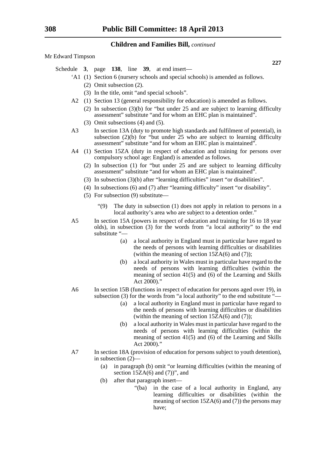Mr Edward Timpson

- Schedule **3**, page **138**, line **39**, at end insert—
	- 'A1 (1) Section 6 (nursery schools and special schools) is amended as follows.
		- (2) Omit subsection (2).
		- (3) In the title, omit "and special schools".
	- A2 (1) Section 13 (general responsibility for education) is amended as follows.
		- (2) In subsection (3)(b) for "but under 25 and are subject to learning difficulty assessment" substitute "and for whom an EHC plan is maintained".
		- (3) Omit subsections (4) and (5).
	- A3 In section 13A (duty to promote high standards and fulfilment of potential), in subsection  $(2)(b)$  for "but under 25 who are subject to learning difficulty assessment" substitute "and for whom an EHC plan is maintained".
	- A4 (1) Section 15ZA (duty in respect of education and training for persons over compulsory school age: England) is amended as follows.
		- (2) In subsection (1) for "but under 25 and are subject to learning difficulty assessment" substitute "and for whom an EHC plan is maintained".
		- (3) In subsection (3)(b) after "learning difficulties" insert "or disabilities".
		- (4) In subsections (6) and (7) after "learning difficulty" insert "or disability".
		- (5) For subsection (9) substitute—
			- "(9) The duty in subsection (1) does not apply in relation to persons in a local authority's area who are subject to a detention order."
	- A5 In section 15A (powers in respect of education and training for 16 to 18 year olds), in subsection (3) for the words from "a local authority" to the end substitute "—
		- (a) a local authority in England must in particular have regard to the needs of persons with learning difficulties or disabilities (within the meaning of section  $15ZA(6)$  and (7));
		- (b) a local authority in Wales must in particular have regard to the needs of persons with learning difficulties (within the meaning of section 41(5) and (6) of the Learning and Skills Act 2000)."
	- A6 In section 15B (functions in respect of education for persons aged over 19), in subsection (3) for the words from "a local authority" to the end substitute "—
		- (a) a local authority in England must in particular have regard to the needs of persons with learning difficulties or disabilities (within the meaning of section  $15ZA(6)$  and (7));
		- (b) a local authority in Wales must in particular have regard to the needs of persons with learning difficulties (within the meaning of section 41(5) and (6) of the Learning and Skills Act 2000)."
	- A7 In section 18A (provision of education for persons subject to youth detention), in subsection (2)—
		- (a) in paragraph (b) omit "or learning difficulties (within the meaning of section  $15\overline{Z}A(6)$  and  $(7)$ ", and
		- (b) after that paragraph insert—
			- "(ba) in the case of a local authority in England, any learning difficulties or disabilities (within the meaning of section  $15ZA(6)$  and (7)) the persons may have;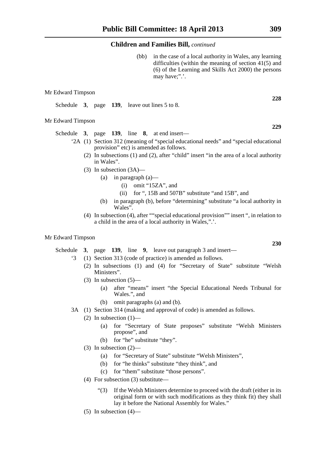(bb) in the case of a local authority in Wales, any learning difficulties (within the meaning of section 41(5) and (6) of the Learning and Skills Act 2000) the persons may have;".'.

#### Mr Edward Timpson

Schedule **3**, page **139**, leave out lines 5 to 8.

#### Mr Edward Timpson

Schedule **3**, page **139**, line **8**, at end insert—

- '2A (1) Section 312 (meaning of "special educational needs" and "special educational provision" etc) is amended as follows.
	- (2) In subsections (1) and (2), after "child" insert "in the area of a local authority in Wales".
	- (3) In subsection (3A)—
		- (a) in paragraph (a)—
			- (i) omit "15ZA", and
			- (ii) for ", 15B and 507B" substitute "and 15B", and
		- (b) in paragraph (b), before "determining" substitute "a local authority in Wales".
	- (4) In subsection (4), after ""special educational provision"" insert ", in relation to a child in the area of a local authority in Wales,".'.

#### Mr Edward Timpson

Schedule **3**, page **139**, line **9**, leave out paragraph 3 and insert—

- '3 (1) Section 313 (code of practice) is amended as follows.
	- (2) In subsections (1) and (4) for "Secretary of State" substitute "Welsh Ministers".
	- $(3)$  In subsection  $(5)$ 
		- (a) after "means" insert "the Special Educational Needs Tribunal for Wales.", and
		- (b) omit paragraphs (a) and (b).
- 3A (1) Section 314 (making and approval of code) is amended as follows.
	- (2) In subsection  $(1)$ 
		- (a) for "Secretary of State proposes" substitute "Welsh Ministers propose", and
		- (b) for "he" substitute "they".
	- (3) In subsection (2)—
		- (a) for "Secretary of State" substitute "Welsh Ministers",
		- (b) for "he thinks" substitute "they think", and
		- (c) for "them" substitute "those persons".
	- (4) For subsection (3) substitute—
		- "(3) If the Welsh Ministers determine to proceed with the draft (either in its original form or with such modifications as they think fit) they shall lay it before the National Assembly for Wales."
	- $(5)$  In subsection  $(4)$ —

**228**

**229**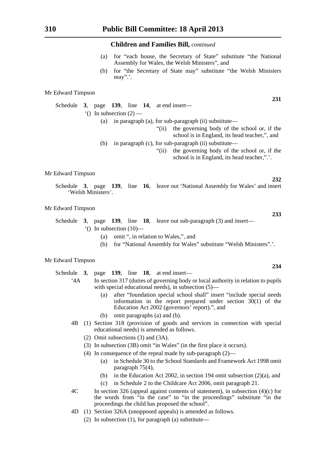- (a) for "each house, the Secretary of State" substitute "the National Assembly for Wales, the Welsh Ministers", and
- (b) for "the Secretary of State may" substitute "the Welsh Ministers may".'.

#### Mr Edward Timpson

Schedule **3**, page **139**, line **14**, at end insert—  $\bigcirc$  In subsection (2) —

(a) in paragraph (a), for sub-paragraph (ii) substitute—

- "(ii) the governing body of the school or, if the school is in England, its head teacher,", and
- (b) in paragraph (c), for sub-paragraph (ii) substitute—
	- "(ii) the governing body of the school or, if the school is in England, its head teacher,".'.

Mr Edward Timpson

Schedule **3**, page **139**, line **16**, leave out 'National Assembly for Wales' and insert 'Welsh Ministers'.

#### Mr Edward Timpson

- Schedule **3**, page **139**, line **18**, leave out sub-paragraph (3) and insert—  $^{\prime}$ () In subsection (10)—
	- (a) omit ", in relation to Wales,", and
	- (b) for "National Assembly for Wales" substitute "Welsh Ministers".'.

#### Mr Edward Timpson

#### Schedule **3**, page **139**, line **18**, at end insert—

- '4A In section 317 (duties of governing body or local authority in relation to pupils with special educational needs), in subsection (5)—
	- (a) after "foundation special school shall" insert "include special needs information in the report prepared under section  $30(1)$  of the Education Act 2002 (governors' report).", and
	- (b) omit paragraphs (a) and (b).
- 4B (1) Section 318 (provision of goods and services in connection with special educational needs) is amended as follows.
	- (2) Omit subsections (3) and (3A).
	- (3) In subsection (3B) omit "in Wales" (in the first place it occurs).
	- (4) In consequence of the repeal made by sub-paragraph (2)—
		- (a) in Schedule 30 to the School Standards and Framework Act 1998 omit paragraph 75(4),
		- (b) in the Education Act 2002, in section 194 omit subsection (2)(a), and
		- (c) in Schedule 2 to the Childcare Act 2006, omit paragraph 21.
- 4C In section 326 (appeal against contents of statement), in subsection (4)(c) for the words from "in the case" to "in the proceedings" substitute "in the proceedings the child has proposed the school".
- 4D (1) Section 326A (unopposed appeals) is amended as follows.
	- (2) In subsection (1), for paragraph (a) substitute—

**231**

**233**

**232**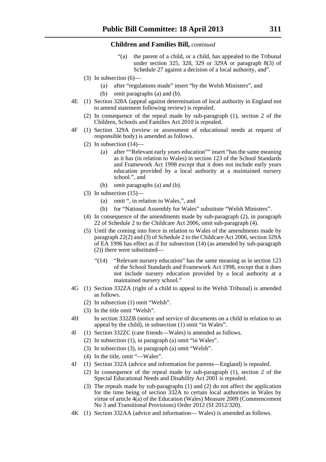- "(a) the parent of a child, or a child, has appealed to the Tribunal under section 325, 328, 329 or 329A or paragraph 8(3) of Schedule 27 against a decision of a local authority, and".
- (3) In subsection  $(6)$ -
	- (a) after "regulations made" insert "by the Welsh Ministers", and
	- (b) omit paragraphs (a) and (b).
- 4E (1) Section 328A (appeal against determination of local authority in England not to amend statement following review) is repealed.
	- (2) In consequence of the repeal made by sub-paragraph (1), section 2 of the Children, Schools and Families Act 2010 is repealed.
- 4F (1) Section 329A (review or assessment of educational needs at request of responsible body) is amended as follows.
	- (2) In subsection  $(14)$ 
		- (a) after ""Relevant early years education"" insert "has the same meaning as it has (in relation to Wales) in section 123 of the School Standards and Framework Act 1998 except that it does not include early years education provided by a local authority at a maintained nursery school.", and
		- (b) omit paragraphs (a) and (b).
	- (3) In subsection  $(15)$ 
		- (a) omit ", in relation to Wales,", and
		- (b) for "National Assembly for Wales" substitute "Welsh Ministers".
	- (4) In consequence of the amendments made by sub-paragraph (2), in paragraph 22 of Schedule 2 to the Childcare Act 2006, omit sub-paragraph (4).
	- (5) Until the coming into force in relation to Wales of the amendments made by paragraph 22(2) and (3) of Schedule 2 to the Childcare Act 2006, section 329A of EA 1996 has effect as if for subsection (14) (as amended by sub-paragraph (2)) there were substituted—
		- "(14) "Relevant nursery education" has the same meaning as in section 123 of the School Standards and Framework Act 1998, except that it does not include nursery education provided by a local authority at a maintained nursery school."
- 4G (1) Section 332ZA (right of a child to appeal to the Welsh Tribunal) is amended as follows.
	- (2) In subsection (1) omit "Welsh".
	- (3) In the title omit "Welsh".
- 4H In section 332ZB (notice and service of documents on a child in relation to an appeal by the child), in subsection (1) omit "in Wales".
- 4I (1) Section 332ZC (case friends—Wales) is amended as follows.
	- (2) In subsection (1), in paragraph (a) omit "in Wales".
	- (3) In subsection (3), in paragraph (a) omit "Welsh".
	- (4) In the title, omit "—Wales".
- 4J (1) Section 332A (advice and information for parents—England) is repealed.
	- (2) In consequence of the repeal made by sub-paragraph (1), section 2 of the Special Educational Needs and Disability Act 2001 is repealed.
	- (3) The repeals made by sub-paragraphs (1) and (2) do not affect the application for the time being of section 332A to certain local authorities in Wales by virtue of article 4(a) of the Education (Wales) Measure 2009 (Commencement No 3 and Transitional Provisions) Order 2012 (SI 2012/320).
- 4K (1) Section 332AA (advice and information— Wales) is amended as follows.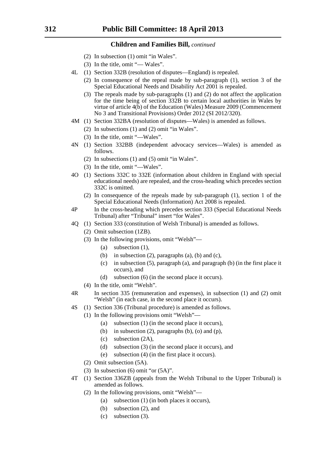- (2) In subsection (1) omit "in Wales".
- (3) In the title, omit "— Wales".
- 4L (1) Section 332B (resolution of disputes—England) is repealed.
	- (2) In consequence of the repeal made by sub-paragraph (1), section 3 of the Special Educational Needs and Disability Act 2001 is repealed.
	- (3) The repeals made by sub-paragraphs (1) and (2) do not affect the application for the time being of section 332B to certain local authorities in Wales by virtue of article 4(b) of the Education (Wales) Measure 2009 (Commencement No 3 and Transitional Provisions) Order 2012 (SI 2012/320).
- 4M (1) Section 332BA (resolution of disputes—Wales) is amended as follows.
	- (2) In subsections (1) and (2) omit "in Wales".
	- (3) In the title, omit "—Wales".
- 4N (1) Section 332BB (independent advocacy services—Wales) is amended as follows.
	- (2) In subsections (1) and (5) omit "in Wales".
	- (3) In the title, omit "—Wales".
- 4O (1) Sections 332C to 332E (information about children in England with special educational needs) are repealed, and the cross-heading which precedes section 332C is omitted.
	- (2) In consequence of the repeals made by sub-paragraph (1), section 1 of the Special Educational Needs (Information) Act 2008 is repealed.
- 4P In the cross-heading which precedes section 333 (Special Educational Needs Tribunal) after "Tribunal" insert "for Wales".
- 4Q (1) Section 333 (constitution of Welsh Tribunal) is amended as follows.
	- (2) Omit subsection (1ZB).
	- (3) In the following provisions, omit "Welsh"—
		- (a) subsection (1),
		- (b) in subsection  $(2)$ , paragraphs  $(a)$ ,  $(b)$  and  $(c)$ ,
		- (c) in subsection (5), paragraph (a), and paragraph (b) (in the first place it occurs), and
		- (d) subsection (6) (in the second place it occurs).
	- (4) In the title, omit "Welsh".
- 4R In section 335 (remuneration and expenses), in subsection (1) and (2) omit "Welsh" (in each case, in the second place it occurs).
- 4S (1) Section 336 (Tribunal procedure) is amended as follows.
	- (1) In the following provisions omit "Welsh"—
		- (a) subsection (1) (in the second place it occurs),
		- (b) in subsection  $(2)$ , paragraphs  $(b)$ ,  $(o)$  and  $(p)$ ,
		- (c) subsection (2A),
		- (d) subsection (3) (in the second place it occurs), and
		- (e) subsection (4) (in the first place it occurs).
		- (2) Omit subsection (5A).
		- (3) In subsection (6) omit "or (5A)".
- 4T (1) Section 336ZB (appeals from the Welsh Tribunal to the Upper Tribunal) is amended as follows.
	- (2) In the following provisions, omit "Welsh"—
		- (a) subsection (1) (in both places it occurs),
		- (b) subsection (2), and
		- (c) subsection (3).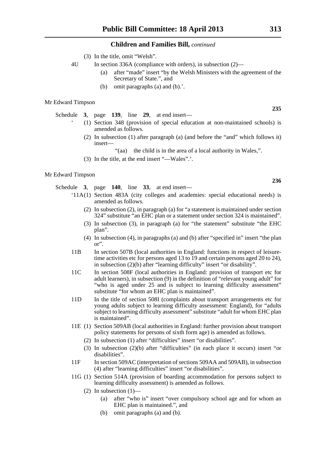- (3) In the title, omit "Welsh".
- 4U In section 336A (compliance with orders), in subsection (2)—
	- (a) after "made" insert "by the Welsh Ministers with the agreement of the Secretary of State.", and
	- (b) omit paragraphs (a) and (b).'.

#### Mr Edward Timpson

Schedule **3**, page **139**, line **29**, at end insert—

- ' (1) Section 348 (provision of special education at non-maintained schools) is amended as follows.
	- (2) In subsection (1) after paragraph (a) (and before the "and" which follows it) insert—
		- "(aa) the child is in the area of a local authority in Wales,".
	- (3) In the title, at the end insert "—Wales".'.

#### Mr Edward Timpson

Schedule **3**, page **140**, line **33**, at end insert—

- '11A(1) Section 483A (city colleges and academies: special educational needs) is amended as follows.
	- (2) In subsection (2), in paragraph (a) for "a statement is maintained under section 324" substitute "an EHC plan or a statement under section 324 is maintained".
	- (3) In subsection (3), in paragraph (a) for "the statement" substitute "the EHC plan".
	- (4) In subsection (4), in paragraphs (a) and (b) after "specified in" insert "the plan or".
- 11B In section 507B (local authorities in England: functions in respect of leisuretime activities etc for persons aged 13 to 19 and certain persons aged 20 to 24), in subsection (2)(b) after "learning difficulty" insert "or disability".
- 11C In section 508F (local authorities in England: provision of transport etc for adult learners), in subsection (9) in the definition of "relevant young adult" for "who is aged under 25 and is subject to learning difficulty assessment" substitute "for whom an EHC plan is maintained".
- 11D In the title of section 508I (complaints about transport arrangements etc for young adults subject to learning difficulty assessment: England), for "adults subject to learning difficulty assessment" substitute "adult for whom EHC plan is maintained".
- 11E (1) Section 509AB (local authorities in England: further provision about transport policy statements for persons of sixth form age) is amended as follows.
	- (2) In subsection (1) after "difficulties" insert "or disabilities".
	- (3) In subsection (2)(b) after "difficulties" (in each place it occurs) insert "or disabilities".
- 11F In section 509AC (interpretation of sections 509AA and 509AB), in subsection (4) after "learning difficulties" insert "or disabilities".
- 11G (1) Section 514A (provision of boarding accommodation for persons subject to learning difficulty assessment) is amended as follows.
	- (2) In subsection  $(1)$ 
		- (a) after "who is" insert "over compulsory school age and for whom an EHC plan is maintained.", and
		- (b) omit paragraphs (a) and (b).

**236**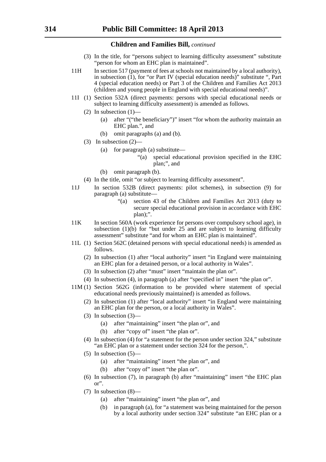- (3) In the title, for "persons subject to learning difficulty assessment" substitute "person for whom an EHC plan is maintained".
- 11H In section 517 (payment of fees at schools not maintained by a local authority), in subsection  $(1)$ , for "or Part IV (special education needs)" substitute ", Part 4 (special education needs) or Part 3 of the Children and Families Act 2013 (children and young people in England with special educational needs)".
- 11I (1) Section 532A (direct payments: persons with special educational needs or subject to learning difficulty assessment) is amended as follows.
	- $(2)$  In subsection  $(1)$ 
		- (a) after "("the beneficiary")" insert "for whom the authority maintain an EHC plan.", and
		- (b) omit paragraphs (a) and (b).
	- (3) In subsection (2)—
		- (a) for paragraph (a) substitute—
			- "(a) special educational provision specified in the EHC plan;", and
		- (b) omit paragraph (b).
	- (4) In the title, omit "or subject to learning difficulty assessment".
- 11J In section 532B (direct payments: pilot schemes), in subsection (9) for paragraph (a) substitute—
	- "(a) section 43 of the Children and Families Act 2013 (duty to secure special educational provision in accordance with EHC plan);".
- 11K In section 560A (work experience for persons over compulsory school age), in subsection  $(1)(b)$  for "but under 25 and are subject to learning difficulty assessment" substitute "and for whom an EHC plan is maintained".
- 11L (1) Section 562C (detained persons with special educational needs) is amended as follows.
	- (2) In subsection (1) after "local authority" insert "in England were maintaining an EHC plan for a detained person, or a local authority in Wales".
	- (3) In subsection (2) after "must" insert "maintain the plan or".
	- (4) In subsection (4), in paragraph (a) after "specified in" insert "the plan or".
- 11M (1) Section 562G (information to be provided where statement of special educational needs previously maintained) is amended as follows.
	- (2) In subsection (1) after "local authority" insert "in England were maintaining an EHC plan for the person, or a local authority in Wales".
	- (3) In subsection (3)—
		- (a) after "maintaining" insert "the plan or", and
		- (b) after "copy of" insert "the plan or".
	- (4) In subsection (4) for "a statement for the person under section 324," substitute "an EHC plan or a statement under section 324 for the person,".
	- $(5)$  In subsection  $(5)$ 
		- (a) after "maintaining" insert "the plan or", and
		- (b) after "copy of" insert "the plan or".
	- (6) In subsection (7), in paragraph (b) after "maintaining" insert "the EHC plan or".
	- (7) In subsection (8)—
		- (a) after "maintaining" insert "the plan or", and
		- (b) in paragraph (a), for "a statement was being maintained for the person by a local authority under section 324" substitute "an EHC plan or a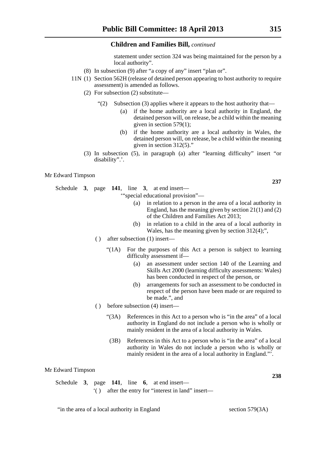statement under section 324 was being maintained for the person by a local authority".

- (8) In subsection (9) after "a copy of any" insert "plan or".
- 11N (1) Section 562H (release of detained person appearing to host authority to require assessment) is amended as follows.
	- (2) For subsection (2) substitute—
		- "(2) Subsection (3) applies where it appears to the host authority that—
			- (a) if the home authority are a local authority in England, the detained person will, on release, be a child within the meaning given in section 579(1);
			- (b) if the home authority are a local authority in Wales, the detained person will, on release, be a child within the meaning given in section 312(5)."
	- (3) In subsection (5), in paragraph (a) after "learning difficulty" insert "or disability".'.

#### Mr Edward Timpson

Schedule **3**, page **141**, line **3**, at end insert—

'"special educational provision"—

- (a) in relation to a person in the area of a local authority in England, has the meaning given by section 21(1) and (2) of the Children and Families Act 2013;
- (b) in relation to a child in the area of a local authority in Wales, has the meaning given by section 312(4);",
- ( ) after subsection (1) insert—
	- "(1A) For the purposes of this Act a person is subject to learning difficulty assessment if—
		- (a) an assessment under section 140 of the Learning and Skills Act 2000 (learning difficulty assessments: Wales) has been conducted in respect of the person, or
		- (b) arrangements for such an assessment to be conducted in respect of the person have been made or are required to be made.", and
- ( ) before subsection (4) insert—
	- "(3A) References in this Act to a person who is "in the area" of a local authority in England do not include a person who is wholly or mainly resident in the area of a local authority in Wales.
	- (3B) References in this Act to a person who is "in the area" of a local authority in Wales do not include a person who is wholly or mainly resident in the area of a local authority in England."'.

#### Mr Edward Timpson

|  |  |  | Schedule 3, page 141, line 6, at end insert—      |
|--|--|--|---------------------------------------------------|
|  |  |  | () after the entry for "interest in land" insert— |

"in the area of a local authority in England section 579(3A)

**238**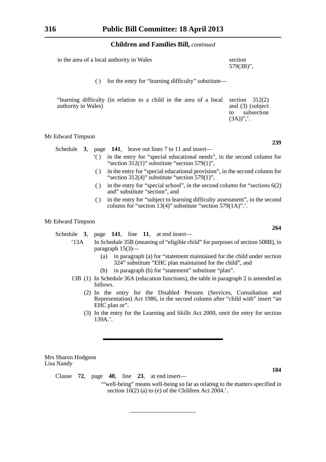| in the area of a local authority in Wales | section      |
|-------------------------------------------|--------------|
|                                           | $579(3B)$ ", |

( ) for the entry for "learning difficulty" substitute—

| "learning difficulty (in relation to a child in the area of a local section $312(2)$ )<br>authority in Wales) |  |  |  |  |  |                 | and $(3)$ (subject |
|---------------------------------------------------------------------------------------------------------------|--|--|--|--|--|-----------------|--------------------|
|                                                                                                               |  |  |  |  |  | to.<br>$(3A)$ " | subsection         |

#### Mr Edward Timpson

|  |  | Schedule $3$ , page 141, leave out lines 7 to 11 and insert— |
|--|--|--------------------------------------------------------------|
|  |  |                                                              |

- '( ) in the entry for "special educational needs", in the second column for "section  $312(1)$ " substitute "section  $579(1)$ ",
- ( ) in the entry for "special educational provision", in the second column for "section  $312(4)$ " substitute "section  $579(1)$ ",
- ( ) in the entry for "special school", in the second column for "sections  $6(2)$ and" substitute "section", and
- ( ) in the entry for "subject to learning difficulty assessment", in the second column for "section 13(4)" substitute "section 579(1A)".'.

### Mr Edward Timpson

Schedule **3**, page **141**, line **11**, at end insert—

- '13A In Schedule 35B (meaning of "eligible child" for purposes of section 508B), in paragraph 15(3)—
	- (a) in paragraph (a) for "statement maintained for the child under section 324" substitute "EHC plan maintained for the child", and
	- (b) in paragraph (b) for "statement" substitute "plan".
- 13B (1) In Schedule 36A (education functions), the table in paragraph 2 is amended as follows.
	- (2) In the entry for the Disabled Persons (Services, Consultation and Representation) Act 1986, in the second column after "child with" insert "an EHC plan or".
	- (3) In the entry for the Learning and Skills Act 2000, omit the entry for section 139A.'.

Mrs Sharon Hodgson Lisa Nandy

Clause **72**, page **48**, line **23**, at end insert—

'"well-being" means well-being so far as relating to the matters specified in section  $10(2)$  (a) to (e) of the Children Act 2004.'.

**239**

**264**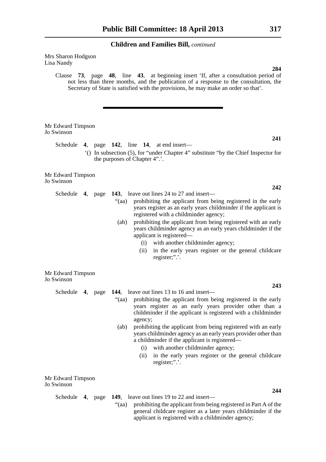Mrs Sharon Hodgson Lisa Nandy

> Clause **73**, page **48**, line **43**, at beginning insert 'If, after a consultation period of not less than three months, and the publication of a response to the consultation, the Secretary of State is satisfied with the provisions, he may make an order so that'.

| Mr Edward Timpson<br>Jo Swinson |       |                                                                                                                                                                                                                             |
|---------------------------------|-------|-----------------------------------------------------------------------------------------------------------------------------------------------------------------------------------------------------------------------------|
|                                 |       | 241<br>Schedule 4, page 142, line 14, at end insert—                                                                                                                                                                        |
|                                 |       | "() In subsection (5), for "under Chapter 4" substitute "by the Chief Inspector for<br>the purposes of Chapter 4".'.                                                                                                        |
| Mr Edward Timpson<br>Jo Swinson |       |                                                                                                                                                                                                                             |
|                                 |       | 242                                                                                                                                                                                                                         |
| Schedule 4, page                |       | 143, leave out lines 24 to 27 and insert—                                                                                                                                                                                   |
|                                 | "(aa) | prohibiting the applicant from being registered in the early<br>years register as an early years childminder if the applicant is<br>registered with a childminder agency;                                                   |
|                                 | (ab)  | prohibiting the applicant from being registered with an early<br>years childminder agency as an early years childminder if the<br>applicant is registered—                                                                  |
|                                 |       | with another childminder agency;<br>(i)                                                                                                                                                                                     |
|                                 |       | in the early years register or the general childcare<br>(ii)<br>register;".'.                                                                                                                                               |
| Mr Edward Timpson<br>Jo Swinson |       |                                                                                                                                                                                                                             |
|                                 |       | 243                                                                                                                                                                                                                         |
|                                 |       | Schedule 4, page 144, leave out lines 13 to 16 and insert—                                                                                                                                                                  |
|                                 | "(aa) | prohibiting the applicant from being registered in the early<br>years register as an early years provider other than a<br>childminder if the applicant is registered with a childminder<br>agency;                          |
|                                 | (ab)  | prohibiting the applicant from being registered with an early<br>years childminder agency as an early years provider other than<br>a childminder if the applicant is registered—<br>with another childminder agency;<br>(i) |
|                                 |       | in the early years register or the general childcare<br>(ii)                                                                                                                                                                |

Mr Edward Timpson Jo Swinson

Schedule **4**, page **149**, leave out lines 19 to 22 and insert—

register;".'.

"(aa) prohibiting the applicant from being registered in Part A of the general childcare register as a later years childminder if the applicant is registered with a childminder agency;

### **284**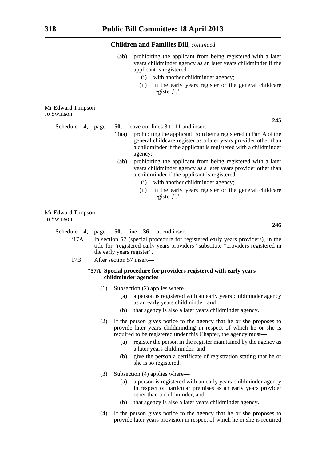- (ab) prohibiting the applicant from being registered with a later years childminder agency as an later years childminder if the applicant is registered—
	- (i) with another childminder agency;
	- (ii) in the early years register or the general childcare register;".'.

Mr Edward Timpson Jo Swinson

Schedule **4**, page **150**, leave out lines 8 to 11 and insert—

- "(aa) prohibiting the applicant from being registered in Part A of the general childcare register as a later years provider other than a childminder if the applicant is registered with a childminder agency;
- (ab) prohibiting the applicant from being registered with a later years childminder agency as a later years provider other than a childminder if the applicant is registered—
	- (i) with another childminder agency;
	- (ii) in the early years register or the general childcare register;".'.

Mr Edward Timpson Jo Swinson

Schedule **4**, page **150**, line **36**, at end insert—

- '17A In section 57 (special procedure for registered early years providers), in the title for "registered early years providers" substitute "providers registered in the early years register".
- 17B After section 57 insert—

#### **"57A Special procedure for providers registered with early years childminder agencies**

- (1) Subsection (2) applies where—
	- (a) a person is registered with an early years childminder agency as an early years childminder, and
	- (b) that agency is also a later years childminder agency.
- (2) If the person gives notice to the agency that he or she proposes to provide later years childminding in respect of which he or she is required to be registered under this Chapter, the agency must—
	- (a) register the person in the register maintained by the agency as a later years childminder, and
	- (b) give the person a certificate of registration stating that he or she is so registered.
- (3) Subsection (4) applies where—
	- (a) a person is registered with an early years childminder agency in respect of particular premises as an early years provider other than a childminder, and
	- (b) that agency is also a later years childminder agency.
- (4) If the person gives notice to the agency that he or she proposes to provide later years provision in respect of which he or she is required

**245**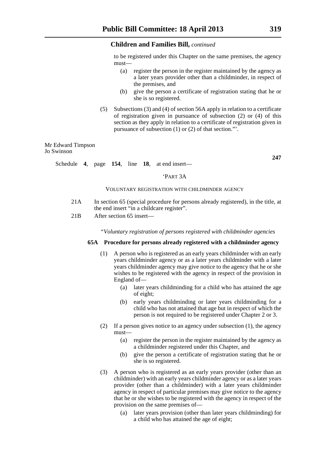to be registered under this Chapter on the same premises, the agency must—

- (a) register the person in the register maintained by the agency as a later years provider other than a childminder, in respect of the premises, and
- (b) give the person a certificate of registration stating that he or she is so registered.
- (5) Subsections (3) and (4) of section 56A apply in relation to a certificate of registration given in pursuance of subsection (2) or (4) of this section as they apply in relation to a certificate of registration given in pursuance of subsection (1) or (2) of that section."'.

Mr Edward Timpson Jo Swinson

**247**

#### Schedule **4**, page **154**, line **18**, at end insert—

#### 'PART 3A

#### VOLUNTARY REGISTRATION WITH CHILDMINDER AGENCY

- 21A In section 65 (special procedure for persons already registered), in the title, at the end insert "in a childcare register".
- 21B After section 65 insert—

*"Voluntary registration of persons registered with childminder agencies*

#### **65A Procedure for persons already registered with a childminder agency**

- (1) A person who is registered as an early years childminder with an early years childminder agency or as a later years childminder with a later years childminder agency may give notice to the agency that he or she wishes to be registered with the agency in respect of the provision in England of—
	- (a) later years childminding for a child who has attained the age of eight;
	- (b) early years childminding or later years childminding for a child who has not attained that age but in respect of which the person is not required to be registered under Chapter 2 or 3.
- (2) If a person gives notice to an agency under subsection (1), the agency must—
	- (a) register the person in the register maintained by the agency as a childminder registered under this Chapter, and
	- (b) give the person a certificate of registration stating that he or she is so registered.
- (3) A person who is registered as an early years provider (other than an childminder) with an early years childminder agency or as a later years provider (other than a childminder) with a later years childminder agency in respect of particular premises may give notice to the agency that he or she wishes to be registered with the agency in respect of the provision on the same premises of—
	- (a) later years provision (other than later years childminding) for a child who has attained the age of eight;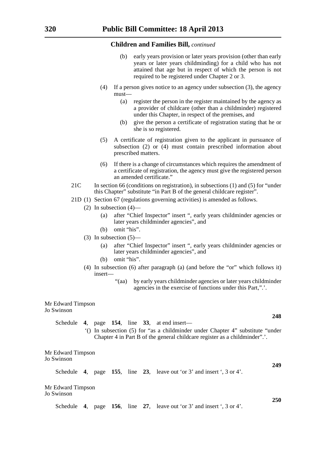- early years provision or later years provision (other than early years or later years childminding) for a child who has not attained that age but in respect of which the person is not required to be registered under Chapter 2 or 3.
- (4) If a person gives notice to an agency under subsection (3), the agency must—
	- (a) register the person in the register maintained by the agency as a provider of childcare (other than a childminder) registered under this Chapter, in respect of the premises, and
	- (b) give the person a certificate of registration stating that he or she is so registered.
- (5) A certificate of registration given to the applicant in pursuance of subsection (2) or (4) must contain prescribed information about prescribed matters.
- (6) If there is a change of circumstances which requires the amendment of a certificate of registration, the agency must give the registered person an amended certificate."
- 21C In section 66 (conditions on registration), in subsections (1) and (5) for "under this Chapter" substitute "in Part B of the general childcare register".
- 21D (1) Section 67 (regulations governing activities) is amended as follows.
	- $(2)$  In subsection  $(4)$ 
		- (a) after "Chief Inspector" insert ", early years childminder agencies or later years childminder agencies", and
		- (b) omit "his".
	- (3) In subsection (5)—
		- (a) after "Chief Inspector" insert ", early years childminder agencies or later years childminder agencies", and
		- (b) omit "his".
	- (4) In subsection (6) after paragraph (a) (and before the "or" which follows it) insert—
		- "(aa) by early years childminder agencies or later years childminder agencies in the exercise of functions under this Part,".'.

#### Mr Edward Timpson Jo Swinson

Schedule **4**, page **154**, line **33**, at end insert— '() In subsection (5) for "as a childminder under Chapter 4" substitute "under

Chapter 4 in Part B of the general childcare register as a childminder".'.

Mr Edward Timpson Jo Swinson

Schedule **4**, page **155**, line **23**, leave out 'or 3' and insert ', 3 or 4'.

Mr Edward Timpson Jo Swinson

Schedule **4**, page **156**, line **27**, leave out 'or 3' and insert ', 3 or 4'.

**248**

**249**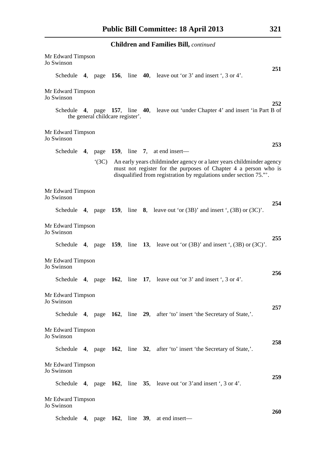|                                 |                                  |  | <b>Children and Families Bill, continued</b>                                                                                                                                                                  |            |
|---------------------------------|----------------------------------|--|---------------------------------------------------------------------------------------------------------------------------------------------------------------------------------------------------------------|------------|
| Mr Edward Timpson<br>Jo Swinson |                                  |  |                                                                                                                                                                                                               | 251        |
|                                 |                                  |  | Schedule 4, page 156, line 40, leave out 'or 3' and insert ', 3 or 4'.                                                                                                                                        |            |
| Mr Edward Timpson<br>Jo Swinson |                                  |  |                                                                                                                                                                                                               |            |
|                                 | the general childcare register'. |  | Schedule 4, page 157, line 40, leave out 'under Chapter 4' and insert 'in Part B of                                                                                                                           | 252        |
| Mr Edward Timpson<br>Jo Swinson |                                  |  |                                                                                                                                                                                                               |            |
|                                 |                                  |  | Schedule 4, page $159$ , line 7, at end insert—                                                                                                                                                               | 253        |
|                                 | (3C)                             |  | An early years childminder agency or a later years childminder agency<br>must not register for the purposes of Chapter 4 a person who is<br>disqualified from registration by regulations under section 75.". |            |
| Mr Edward Timpson<br>Jo Swinson |                                  |  |                                                                                                                                                                                                               | 254        |
|                                 |                                  |  | Schedule 4, page 159, line 8, leave out 'or $(3B)$ ' and insert ', $(3B)$ or $(3C)$ '.                                                                                                                        |            |
| Mr Edward Timpson<br>Jo Swinson |                                  |  |                                                                                                                                                                                                               | 255        |
|                                 |                                  |  | Schedule 4, page 159, line 13, leave out 'or $(3B)$ ' and insert ', $(3B)$ or $(3C)$ '.                                                                                                                       |            |
| Mr Edward Timpson<br>Jo Swinson |                                  |  |                                                                                                                                                                                                               | 256        |
|                                 |                                  |  | Schedule 4, page $162$ , line 17, leave out 'or 3' and insert ', 3 or 4'.                                                                                                                                     |            |
| Mr Edward Timpson<br>Jo Swinson |                                  |  |                                                                                                                                                                                                               | 257        |
|                                 |                                  |  | Schedule 4, page 162, line 29, after 'to' insert 'the Secretary of State,'.                                                                                                                                   |            |
| Mr Edward Timpson<br>Jo Swinson |                                  |  |                                                                                                                                                                                                               | 258        |
|                                 |                                  |  | Schedule 4, page $162$ , line $32$ , after 'to' insert 'the Secretary of State,'.                                                                                                                             |            |
| Mr Edward Timpson<br>Jo Swinson |                                  |  |                                                                                                                                                                                                               | 259        |
|                                 |                                  |  | Schedule 4, page $162$ , line 35, leave out 'or 3' and insert ', 3 or 4'.                                                                                                                                     |            |
| Mr Edward Timpson<br>Jo Swinson |                                  |  |                                                                                                                                                                                                               |            |
|                                 |                                  |  | Schedule 4, page 162, line 39, at end insert—                                                                                                                                                                 | <b>260</b> |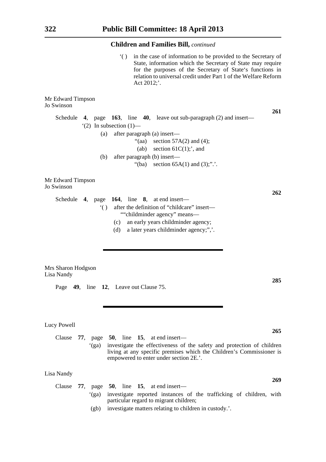'( ) in the case of information to be provided to the Secretary of State, information which the Secretary of State may require for the purposes of the Secretary of State's functions in relation to universal credit under Part 1 of the Welfare Reform Act 2012;'.

**285**

**265**

**269**

Mr Edward Timpson Jo Swinson **261** Schedule **4**, page **163**, line **40**, leave out sub-paragraph (2) and insert—  $'(2)$  In subsection  $(1)$ — (a) after paragraph (a) insert— "(aa) section  $57A(2)$  and (4); (ab) section  $61C(1)$ ;', and (b) after paragraph (b) insert— "(ba) section  $65A(1)$  and  $(3)$ ;".'. Mr Edward Timpson Jo Swinson **262** Schedule **4**, page **164**, line **8**, at end insert— '( ) after the definition of "childcare" insert— ""childminder agency" means—

- (c) an early years childminder agency;
- (d) a later years childminder agency;",'.

Mrs Sharon Hodgson Lisa Nandy

Page **49**, line **12**, Leave out Clause 75.

Lucy Powell

Clause **77**, page **50**, line **15**, at end insert— '(ga) investigate the effectiveness of the safety and protection of children living at any specific premises which the Children's Commissioner is empowered to enter under section 2E.'.

Lisa Nandy

|  |      |                                        |  |  |  | Clause 77, page 50, line 15, at end insert— |  |  |                                                                           |  |  |  |
|--|------|----------------------------------------|--|--|--|---------------------------------------------|--|--|---------------------------------------------------------------------------|--|--|--|
|  |      |                                        |  |  |  |                                             |  |  | '(ga) investigate reported instances of the trafficking of children, with |  |  |  |
|  |      | particular regard to migrant children; |  |  |  |                                             |  |  |                                                                           |  |  |  |
|  | (gb) |                                        |  |  |  |                                             |  |  | investigate matters relating to children in custody.'.                    |  |  |  |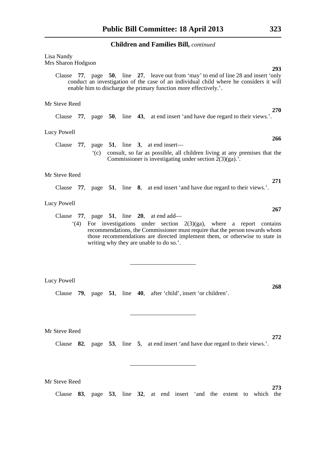## Lisa Nandy

Mrs Sharon Hodgson

Clause **77**, page **50**, line **27**, leave out from 'may' to end of line 28 and insert 'only conduct an investigation of the case of an individual child where he considers it will enable him to discharge the primary function more effectively.'.

#### Mr Steve Reed

Clause **77**, page **50**, line **43**, at end insert 'and have due regard to their views.'.

#### Lucy Powell

Clause **77**, page **51**, line **3**, at end insert— '(c) consult, so far as possible, all children living at any premises that the Commissioner is investigating under section  $2(3)(ga)$ .

#### Mr Steve Reed

Clause **77**, page **51**, line **8**, at end insert 'and have due regard to their views.'.

#### Lucy Powell

Clause **77**, page **51**, line **20**, at end add—

'(4) For investigations under section 2(3)(ga), where a report contains recommendations, the Commissioner must require that the person towards whom those recommendations are directed implement them, or otherwise to state in writing why they are unable to do so.'.

#### Lucy Powell

Clause **79**, page **51**, line **40**, after 'child', insert 'or children'.

Mr Steve Reed

Clause **82**, page **53**, line **5**, at end insert 'and have due regard to their views.'.

Mr Steve Reed

Clause **83**, page **53**, line **32**, at end insert 'and the extent to which the

**293**

**270**

**266**

**271**

**267**

**268**

**272**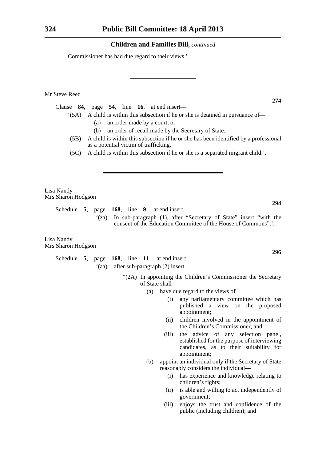Commissioner has had due regard to their views.'.

Mr Steve Reed

Clause **84**, page **54**, line **16**, at end insert—

- '(5A) A child is within this subsection if he or she is detained in pursuance of—
	- (a) an order made by a court, or
	- (b) an order of recall made by the Secretary of State.
- (5B) A child is within this subsection if he or she has been identified by a professional as a potential victim of trafficking.
- (5C) A child is within this subsection if he or she is a separated migrant child.'.

Lisa Nandy Mrs Sharon Hodgson

> Schedule **5**, page **168**, line **9**, at end insert— '(za) In sub-paragraph (1), after "Secretary of State" insert "with the consent of the Education Committee of the House of Commons".'.

Lisa Nandy Mrs Sharon Hodgson

> Schedule **5**, page **168**, line **11**, at end insert— '(aa) after sub-paragraph (2) insert—

> > "(2A) In appointing the Children's Commissioner the Secretary of State shall—

- (a) have due regard to the views of—
	- (i) any parliamentary committee which has published a view on the proposed appointment;
	- (ii) children involved in the appointment of the Children's Commissioner, and
	- (iii) the advice of any selection panel, established for the purpose of interviewing candidates, as to their suitability for appointment;
- (b) appoint an individual only if the Secretary of State reasonably considers the individual—
	- (i) has experience and knowledge relating to children's rights;
	- (ii) is able and willing to act independently of government;
	- (iii) enjoys the trust and confidence of the public (including children); and

**274**

**296**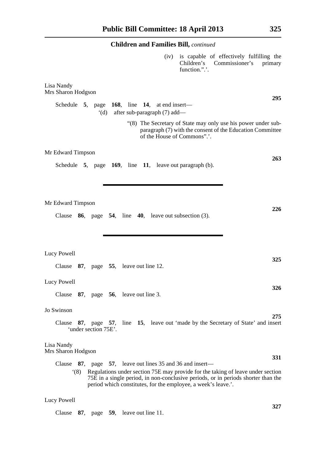# **Children and Families Bill,** *continued* (iv) is capable of effectively fulfilling the Children's Commissioner's primary function.".'. Lisa Nandy Mrs Sharon Hodgson **295** Schedule **5**, page **168**, line **14**, at end insert— '(d) after sub-paragraph (7) add— "(8) The Secretary of State may only use his power under subparagraph (7) with the consent of the Education Committee of the House of Commons".'. Mr Edward Timpson **263** Schedule **5**, page **169**, line **11**, leave out paragraph (b). Mr Edward Timpson **226** Clause **86**, page **54**, line **40**, leave out subsection (3). Lucy Powell **325** Clause **87**, page **55**, leave out line 12. Lucy Powell **326** Clause **87**, page **56**, leave out line 3. Jo Swinson **275** Clause **87**, page **57**, line **15**, leave out 'made by the Secretary of State' and insert 'under section 75E'. Lisa Nandy Mrs Sharon Hodgson **331** Clause **87**, page **57**, leave out lines 35 and 36 and insert— '(8) Regulations under section 75E may provide for the taking of leave under section 75E in a single period, in non-conclusive periods, or in periods shorter than the period which constitutes, for the employee, a week's leave.'.

#### Lucy Powell

Clause **87**, page **59**, leave out line 11.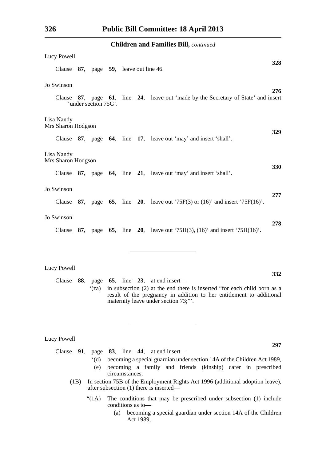| Lucy Powell                                                                                                                                                                                            |     |
|--------------------------------------------------------------------------------------------------------------------------------------------------------------------------------------------------------|-----|
| Clause 87, page 59, leave out line 46.                                                                                                                                                                 | 328 |
| Jo Swinson                                                                                                                                                                                             |     |
| Clause 87, page 61, line 24, leave out 'made by the Secretary of State' and insert<br>'under section 75G'.                                                                                             | 276 |
| Lisa Nandy<br>Mrs Sharon Hodgson                                                                                                                                                                       | 329 |
| Clause 87, page 64, line 17, leave out 'may' and insert 'shall'.                                                                                                                                       |     |
| Lisa Nandy<br>Mrs Sharon Hodgson                                                                                                                                                                       | 330 |
| Clause 87, page 64, line 21, leave out 'may' and insert 'shall'.                                                                                                                                       |     |
| Jo Swinson                                                                                                                                                                                             | 277 |
| <b>87.</b> page <b>65.</b> line <b>20.</b> leave out '75F(3) or (16)' and insert '75F(16)'.<br>Clause                                                                                                  |     |
| Jo Swinson                                                                                                                                                                                             | 278 |
| 87, page 65, line 20, leave out $75H(3)$ , $(16)$ and insert $75H(16)$ .<br>Clause                                                                                                                     |     |
|                                                                                                                                                                                                        |     |
| Lucy Powell                                                                                                                                                                                            |     |
| 88, page 65, line 23, at end insert—<br>Clause                                                                                                                                                         | 332 |
| in subsection (2) at the end there is inserted "for each child born as a<br>$\lq$ (za)<br>result of the pregnancy in addition to her entitlement to additional<br>maternity leave under section 73;"". |     |
|                                                                                                                                                                                                        |     |
| Lucy Powell                                                                                                                                                                                            | 297 |
| Clause 91, page 83, line 44, at end insert—                                                                                                                                                            |     |
| becoming a special guardian under section 14A of the Children Act 1989,<br>$\dot{d}$<br>becoming a family and friends (kinship) carer in prescribed<br>(e)                                             |     |
| circumstances.<br>In section 75B of the Employment Rights Act 1996 (additional adoption leave),<br>(1B)<br>after subsection (1) there is inserted—                                                     |     |
| "(1A)<br>The conditions that may be prescribed under subsection (1) include<br>conditions as to-                                                                                                       |     |

(a) becoming a special guardian under section 14A of the Children Act 1989,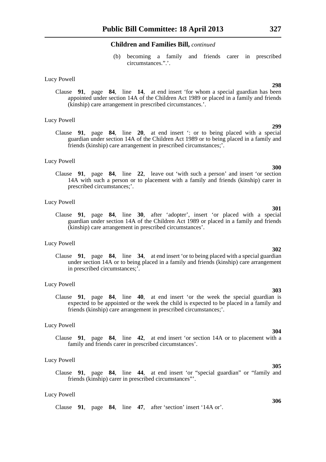(b) becoming a family and friends carer in prescribed circumstances.".'.

#### Lucy Powell

Clause **91**, page **84**, line **14**, at end insert 'for whom a special guardian has been appointed under section 14A of the Children Act 1989 or placed in a family and friends (kinship) care arrangement in prescribed circumstances.'.

#### Lucy Powell

Clause **91**, page **84**, line **20**, at end insert ': or to being placed with a special guardian under section 14A of the Children Act 1989 or to being placed in a family and friends (kinship) care arrangement in prescribed circumstances;'.

#### Lucy Powell

Clause **91**, page **84**, line **22**, leave out 'with such a person' and insert 'or section 14A with such a person or to placement with a family and friends (kinship) carer in prescribed circumstances;'.

#### Lucy Powell

Clause **91**, page **84**, line **30**, after 'adopter', insert 'or placed with a special guardian under section 14A of the Children Act 1989 or placed in a family and friends (kinship) care arrangement in prescribed circumstances'.

#### Lucy Powell

Clause **91**, page **84**, line **34**, at end insert 'or to being placed with a special guardian under section 14A or to being placed in a family and friends (kinship) care arrangement in prescribed circumstances;'.

#### Lucy Powell

Clause **91**, page **84**, line **40**, at end insert 'or the week the special guardian is expected to be appointed or the week the child is expected to be placed in a family and friends (kinship) care arrangement in prescribed circumstances;'.

#### Lucy Powell

Clause **91**, page **84**, line **42**, at end insert 'or section 14A or to placement with a family and friends carer in prescribed circumstances'.

#### Lucy Powell

Clause **91**, page **84**, line **44**, at end insert 'or "special guardian" or "family and friends (kinship) carer in prescribed circumstances"'.

#### Lucy Powell

Clause **91**, page **84**, line **47**, after 'section' insert '14A or'.

#### **298**

**299**

**300**

# **302**

### **303**

# **304**

## **305**

#### **306**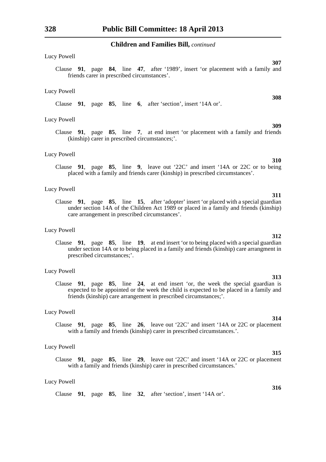#### Lucy Powell

Clause **91**, page **84**, line **47**, after '1989', insert 'or placement with a family and friends carer in prescribed circumstances'.

#### Lucy Powell

Clause **91**, page **85**, line **6**, after 'section', insert '14A or'.

#### Lucy Powell

Clause **91**, page **85**, line **7**, at end insert 'or placement with a family and friends (kinship) carer in prescribed circumstances;'.

#### Lucy Powell

Clause **91**, page **85**, line **9**, leave out '22C' and insert '14A or 22C or to being placed with a family and friends carer (kinship) in prescribed circumstances'.

#### Lucy Powell

Clause **91**, page **85**, line **15**, after 'adopter' insert 'or placed with a special guardian under section 14A of the Children Act 1989 or placed in a family and friends (kinship) care arrangement in prescribed circumstances'.

#### Lucy Powell

Clause **91**, page **85**, line **19**, at end insert 'or to being placed with a special guardian under section 14A or to being placed in a family and friends (kinship) care arrangment in prescribed circumstances;'.

#### Lucy Powell

Clause **91**, page **85**, line **24**, at end insert 'or, the week the special guardian is expected to be appointed or the week the child is expected to be placed in a family and friends (kinship) care arrangement in prescribed circumstances;'.

#### Lucy Powell

Clause **91**, page **85**, line **26**, leave out '22C' and insert '14A or 22C or placement with a family and friends (kinship) carer in prescribed circumstances.'.

#### Lucy Powell

Clause **91**, page **85**, line **29**, leave out '22C' and insert '14A or 22C or placement with a family and friends (kinship) carer in prescribed circumstances.'

#### Lucy Powell

#### **314**

# **315**

#### **316**

# **309**

**310**

**312**

**311**

# **313**

# **308**

Clause **91**, page **85**, line **32**, after 'section', insert '14A or'.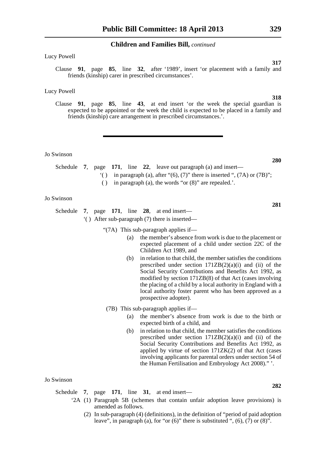#### Lucy Powell

Clause **91**, page **85**, line **32**, after '1989', insert 'or placement with a family and friends (kinship) carer in prescribed circumstances'.

#### Lucy Powell

Clause **91**, page **85**, line **43**, at end insert 'or the week the special guardian is expected to be appointed or the week the child is expected to be placed in a family and friends (kinship) care arrangement in prescribed circumstances.'.

#### Jo Swinson

- Schedule **7**, page **171**, line **22**, leave out paragraph (a) and insert—
	- '( ) in paragraph (a), after " $(6)$ ,  $(7)$ " there is inserted ",  $(7A)$  or  $(7B)$ ";
	- ( ) in paragraph (a), the words "or (8)" are repealed.'.

#### Jo Swinson

Schedule **7**, page **171**, line **28**, at end insert— '( ) After sub-paragraph (7) there is inserted—

"(7A) This sub-paragraph applies if—

- (a) the member's absence from work is due to the placement or expected placement of a child under section 22C of the Children Act 1989, and
- (b) in relation to that child, the member satisfies the conditions prescribed under section  $171ZB(2)(a)(i)$  and (ii) of the Social Security Contributions and Benefits Act 1992, as modified by section 171ZB(8) of that Act (cases involving the placing of a child by a local authority in England with a local authority foster parent who has been approved as a prospective adopter).
- (7B) This sub-paragraph applies if—
	- (a) the member's absence from work is due to the birth or expected birth of a child, and
	- (b) in relation to that child, the member satisfies the conditions prescribed under section  $171ZB(2)(a)(i)$  and (ii) of the Social Security Contributions and Benefits Act 1992, as applied by virtue of section 171ZK(2) of that Act (cases involving applicants for parental orders under section 54 of the Human Fertilisation and Embryology Act 2008)." '.

#### Jo Swinson

Schedule **7**, page **171**, line **31**, at end insert—

- '2A (1) Paragraph 5B (schemes that contain unfair adoption leave provisions) is amended as follows.
	- (2) In sub-paragraph (4) (definitions), in the definition of "period of paid adoption leave", in paragraph (a), for "or  $(6)$ " there is substituted ",  $(6)$ ,  $(7)$  or  $(8)$ ".

**318**

**317**

## **280**

#### **281**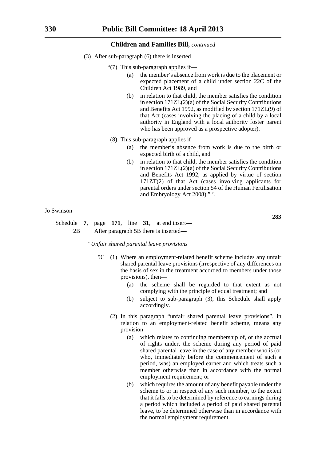- (3) After sub-paragraph (6) there is inserted—
	- "(7) This sub-paragraph applies if—
		- (a) the member's absence from work is due to the placement or expected placement of a child under section 22C of the Children Act 1989, and
		- (b) in relation to that child, the member satisfies the condition in section 171ZL(2)(a) of the Social Security Contributions and Benefits Act 1992, as modified by section 171ZL(9) of that Act (cases involving the placing of a child by a local authority in England with a local authority foster parent who has been approved as a prospective adopter).
	- (8) This sub-paragraph applies if—
		- (a) the member's absence from work is due to the birth or expected birth of a child, and
		- (b) in relation to that child, the member satisfies the condition in section 171ZL(2)(a) of the Social Security Contributions and Benefits Act 1992, as applied by virtue of section 171ZT(2) of that Act (cases involving applicants for parental orders under section 54 of the Human Fertilisation and Embryology Act 2008)." '.

#### Jo Swinson

Schedule **7**, page **171**, line **31**, at end insert— '2B After paragraph 5B there is inserted—

*"Unfair shared parental leave provisions*

- 5C (1) Where an employment-related benefit scheme includes any unfair shared parental leave provisions (irrespective of any differences on the basis of sex in the treatment accorded to members under those provisions), then—
	- (a) the scheme shall be regarded to that extent as not complying with the principle of equal treatment; and
	- (b) subject to sub-paragraph (3), this Schedule shall apply accordingly.
	- (2) In this paragraph "unfair shared parental leave provisions", in relation to an employment-related benefit scheme, means any provision—
		- (a) which relates to continuing membership of, or the accrual of rights under, the scheme during any period of paid shared parental leave in the case of any member who is (or who, immediately before the commencement of such a period, was) an employed earner and which treats such a member otherwise than in accordance with the normal employment requirement; or
		- (b) which requires the amount of any benefit payable under the scheme to or in respect of any such member, to the extent that it falls to be determined by reference to earnings during a period which included a period of paid shared parental leave, to be determined otherwise than in accordance with the normal employment requirement.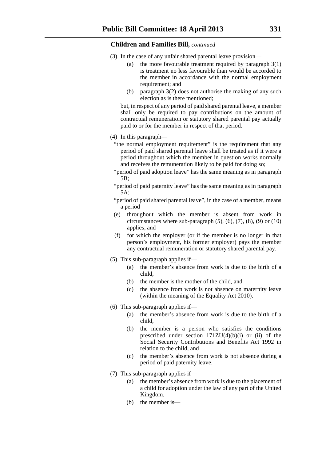- (3) In the case of any unfair shared parental leave provision—
	- (a) the more favourable treatment required by paragraph 3(1) is treatment no less favourable than would be accorded to the member in accordance with the normal employment requirement; and
	- (b) paragraph 3(2) does not authorise the making of any such election as is there mentioned;

but, in respect of any period of paid shared parental leave, a member shall only be required to pay contributions on the amount of contractual remuneration or statutory shared parental pay actually paid to or for the member in respect of that period.

- (4) In this paragraph—
	- "the normal employment requirement" is the requirement that any period of paid shared parental leave shall be treated as if it were a period throughout which the member in question works normally and receives the remuneration likely to be paid for doing so;
	- "period of paid adoption leave" has the same meaning as in paragraph 5B;
	- "period of paid paternity leave" has the same meaning as in paragraph 5A;
	- "period of paid shared parental leave", in the case of a member, means a period—
	- (e) throughout which the member is absent from work in circumstances where sub-paragraph  $(5)$ ,  $(6)$ ,  $(7)$ ,  $(8)$ ,  $(9)$  or  $(10)$ applies, and
	- (f) for which the employer (or if the member is no longer in that person's employment, his former employer) pays the member any contractual remuneration or statutory shared parental pay.
- (5) This sub-paragraph applies if—
	- (a) the member's absence from work is due to the birth of a child,
	- (b) the member is the mother of the child, and
	- (c) the absence from work is not absence on maternity leave (within the meaning of the Equality Act 2010).
- (6) This sub-paragraph applies if—
	- (a) the member's absence from work is due to the birth of a child,
	- (b) the member is a person who satisfies the conditions prescribed under section  $171ZU(4)(b)(i)$  or (ii) of the Social Security Contributions and Benefits Act 1992 in relation to the child, and
	- (c) the member's absence from work is not absence during a period of paid paternity leave.
- (7) This sub-paragraph applies if—
	- (a) the member's absence from work is due to the placement of a child for adoption under the law of any part of the United Kingdom,
	- (b) the member is—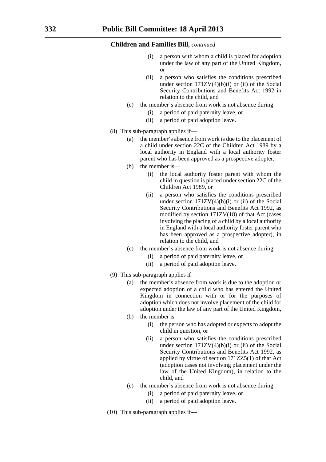- a person with whom a child is placed for adoption under the law of any part of the United Kingdom, or
- (ii) a person who satisfies the conditions prescribed under section  $171ZV(4)(b)(i)$  or (ii) of the Social Security Contributions and Benefits Act 1992 in relation to the child, and
- (c) the member's absence from work is not absence during—
	- (i) a period of paid paternity leave, or
	- (ii) a period of paid adoption leave.
- (8) This sub-paragraph applies if—
	- (a) the member's absence from work is due to the placement of a child under section 22C of the Children Act 1989 by a local authority in England with a local authority foster parent who has been approved as a prospective adopter,
	- (b) the member is—
		- (i) the local authority foster parent with whom the child in question is placed under section 22C of the Children Act 1989, or
		- (ii) a person who satisfies the conditions prescribed under section  $171ZV(4)(b)(i)$  or (ii) of the Social Security Contributions and Benefits Act 1992, as modified by section 171ZV(18) of that Act (cases involving the placing of a child by a local authority in England with a local authority foster parent who has been approved as a prospective adopter), in relation to the child, and
	- (c) the member's absence from work is not absence during—
		- (i) a period of paid paternity leave, or
		- (ii) a period of paid adoption leave.
- (9) This sub-paragraph applies if—
	- (a) the member's absence from work is due to the adoption or expected adoption of a child who has entered the United Kingdom in connection with or for the purposes of adoption which does not involve placement of the child for adoption under the law of any part of the United Kingdom,
	- (b) the member is—
		- (i) the person who has adopted or expects to adopt the child in question, or
		- (ii) a person who satisfies the conditions prescribed under section  $171ZV(4)(b)(i)$  or (ii) of the Social Security Contributions and Benefits Act 1992, as applied by virtue of section 171ZZ5(1) of that Act (adoption cases not involving placement under the law of the United Kingdom), in relation to the child, and
	- (c) the member's absence from work is not absence during—
		- (i) a period of paid paternity leave, or
		- (ii) a period of paid adoption leave.
- (10) This sub-paragraph applies if—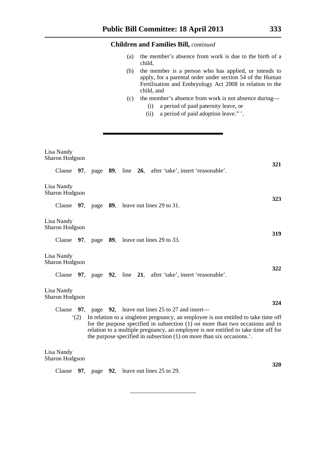- (a) the member's absence from work is due to the birth of a child,
- (b) the member is a person who has applied, or intends to apply, for a parental order under section 54 of the Human Fertilisation and Embryology Act 2008 in relation to the child, and
- (c) the member's absence from work is not absence during—
	- (i) a period of paid paternity leave, or
	- (ii) a period of paid adoption leave." '.

| Lisa Nandy<br>Sharon Hodgson |     |  |  |                                                                                                                                                                                                                                                                                                                                   | 321        |
|------------------------------|-----|--|--|-----------------------------------------------------------------------------------------------------------------------------------------------------------------------------------------------------------------------------------------------------------------------------------------------------------------------------------|------------|
|                              |     |  |  | Clause 97, page 89, line 26, after 'take', insert 'reasonable'.                                                                                                                                                                                                                                                                   |            |
| Lisa Nandy<br>Sharon Hodgson |     |  |  |                                                                                                                                                                                                                                                                                                                                   | 323        |
|                              |     |  |  | Clause $97$ , page $89$ , leave out lines 29 to 31.                                                                                                                                                                                                                                                                               |            |
| Lisa Nandy<br>Sharon Hodgson |     |  |  |                                                                                                                                                                                                                                                                                                                                   |            |
|                              |     |  |  | Clause 97, page 89, leave out lines 29 to 33.                                                                                                                                                                                                                                                                                     | 319        |
| Lisa Nandy<br>Sharon Hodgson |     |  |  |                                                                                                                                                                                                                                                                                                                                   | 322        |
|                              |     |  |  | Clause 97, page 92, line 21, after 'take', insert 'reasonable'.                                                                                                                                                                                                                                                                   |            |
| Lisa Nandy<br>Sharon Hodgson |     |  |  |                                                                                                                                                                                                                                                                                                                                   |            |
|                              |     |  |  | Clause $97$ , page $92$ , leave out lines 25 to 27 and insert—                                                                                                                                                                                                                                                                    | 324        |
|                              | (2) |  |  | In relation to a singleton pregnancy, an employee is not entitled to take time off<br>for the purpose specified in subsection $(1)$ on more than two occasions and in<br>relation to a multiple pregnancy, an employee is not entitled to take time off for<br>the purpose specified in subsection (1) on more than six occasions |            |
| Lisa Nandy<br>Sharon Hodgson |     |  |  |                                                                                                                                                                                                                                                                                                                                   |            |
|                              |     |  |  | Clause 97, page 92, leave out lines 25 to 29.                                                                                                                                                                                                                                                                                     | <b>320</b> |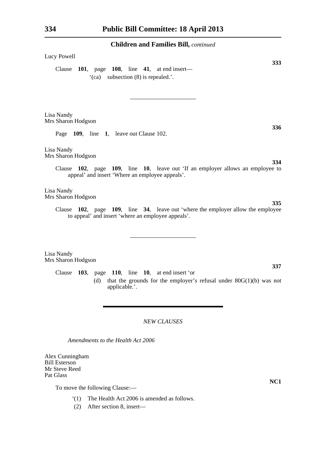#### Lucy Powell

Clause **101**, page **108**, line **41**, at end insert— '(ca) subsection (8) is repealed.'.

Lisa Nandy Mrs Sharon Hodgson

Page **109**, line **1**, leave out Clause 102.

Lisa Nandy Mrs Sharon Hodgson

> Clause **102**, page **109**, line **10**, leave out 'If an employer allows an employee to appeal' and insert 'Where an employee appeals'.

Lisa Nandy Mrs Sharon Hodgson

> Clause **102**, page **109**, line **34**, leave out 'where the employer allow the employee to appeal' and insert 'where an employee appeals'.

Lisa Nandy Mrs Sharon Hodgson

> Clause **103**, page **110**, line **10**, at end insert 'or (d) that the grounds for the employer's refusal under  $80G(1)(b)$  was not applicable.'.

### *NEW CLAUSES*

*Amendments to the Health Act 2006*

Alex Cunningham Bill Esterson Mr Steve Reed Pat Glass

To move the following Clause:—

- '(1) The Health Act 2006 is amended as follows.
- (2) After section 8, insert—

**NC1**

**336**

**334**

**333**

**335**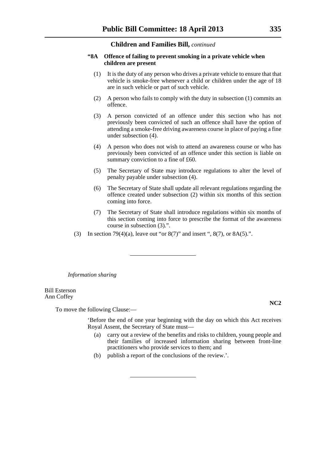#### **"8A Offence of failing to prevent smoking in a private vehicle when children are present**

- (1) It is the duty of any person who drives a private vehicle to ensure that that vehicle is smoke-free whenever a child or children under the age of 18 are in such vehicle or part of such vehicle.
- (2) A person who fails to comply with the duty in subsection (1) commits an offence.
- (3) A person convicted of an offence under this section who has not previously been convicted of such an offence shall have the option of attending a smoke-free driving awareness course in place of paying a fine under subsection (4).
- (4) A person who does not wish to attend an awareness course or who has previously been convicted of an offence under this section is liable on summary conviction to a fine of £60.
- (5) The Secretary of State may introduce regulations to alter the level of penalty payable under subsection (4).
- (6) The Secretary of State shall update all relevant regulations regarding the offence created under subsection (2) within six months of this section coming into force.
- (7) The Secretary of State shall introduce regulations within six months of this section coming into force to prescribe the format of the awareness course in subsection (3).".
- (3) In section 79(4)(a), leave out "or  $8(7)$ " and insert ",  $8(7)$ , or  $8A(5)$ .".

*Information sharing*

Bill Esterson Ann Coffey

To move the following Clause:—

'Before the end of one year beginning with the day on which this Act receives Royal Assent, the Secretary of State must—

- (a) carry out a review of the benefits and risks to children, young people and their families of increased information sharing between front-line practitioners who provide services to them; and
- (b) publish a report of the conclusions of the review.'.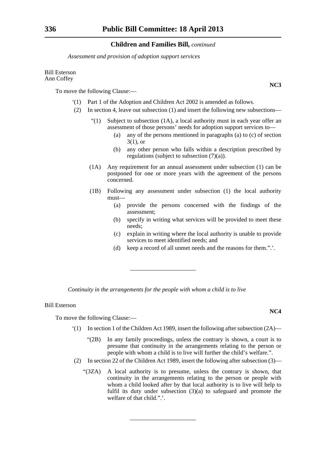*Assessment and provision of adoption support services*

#### Bill Esterson Ann Coffey

To move the following Clause:—

- '(1) Part 1 of the Adoption and Children Act 2002 is amended as follows.
- (2) In section 4, leave out subsection (1) and insert the following new subsections—
	- "(1) Subject to subsection  $(1A)$ , a local authority must in each year offer an assessment of those persons' needs for adoption support services to—
		- (a) any of the persons mentioned in paragraphs (a) to (c) of section 3(1), or
		- (b) any other person who falls within a description prescribed by regulations (subject to subsection (7)(a)).
	- (1A) Any requirement for an annual assessment under subsection (1) can be postponed for one or more years with the agreement of the persons concerned.
	- (1B) Following any assessment under subsection (1) the local authority must—
		- (a) provide the persons concerned with the findings of the assessment;
		- (b) specify in writing what services will be provided to meet these needs;
		- (c) explain in writing where the local authority is unable to provide services to meet identified needs; and
		- (d) keep a record of all unmet needs and the reasons for them.".'.

*Continuity in the arrangements for the people with whom a child is to live*

#### Bill Esterson

To move the following Clause:—

- $(1)$  In section 1 of the Children Act 1989, insert the following after subsection  $(2A)$ 
	- "(2B) In any family proceedings, unless the contrary is shown, a court is to presume that continuity in the arrangements relating to the person or people with whom a child is to live will further the child's welfare.".
- (2) In section 22 of the Children Act 1989, insert the following after subsection (3)—
	- "(3ZA) A local authority is to presume, unless the contrary is shown, that continuity in the arrangements relating to the person or people with whom a child looked after by that local authority is to live will help to fulfil its duty under subsection (3)(a) to safeguard and promote the welfare of that child.".'.

**NC3**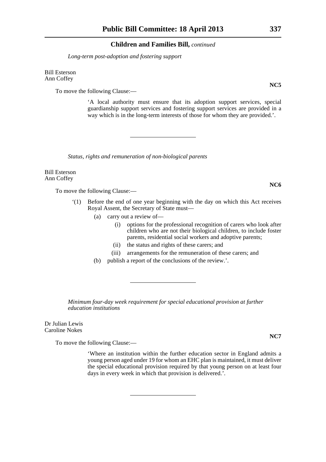*Long-term post-adoption and fostering support*

Bill Esterson Ann Coffey

To move the following Clause:—

'A local authority must ensure that its adoption support services, special guardianship support services and fostering support services are provided in a way which is in the long-term interests of those for whom they are provided.'.

*Status, rights and remuneration of non-biological parents*

Bill Esterson Ann Coffey

To move the following Clause:—

- '(1) Before the end of one year beginning with the day on which this Act receives Royal Assent, the Secretary of State must—
	- (a) carry out a review of—
		- (i) options for the professional recognition of carers who look after children who are not their biological children, to include foster parents, residential social workers and adoptive parents;
		- (ii) the status and rights of these carers; and
		- (iii) arrangements for the remuneration of these carers; and
	- (b) publish a report of the conclusions of the review.'.

*Minimum four-day week requirement for special educational provision at further education institutions*

Dr Julian Lewis Caroline Nokes

To move the following Clause:—

'Where an institution within the further education sector in England admits a young person aged under 19 for whom an EHC plan is maintained, it must deliver the special educational provision required by that young person on at least four days in every week in which that provision is delivered.'.

**NC5**

**NC6**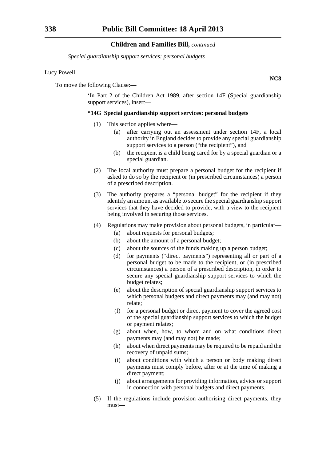*Special guardianship support services: personal budgets*

#### Lucy Powell

To move the following Clause:—

'In Part 2 of the Children Act 1989, after section 14F (Special guardianship support services), insert—

#### **"14G Special guardianship support services: personal budgets**

- (1) This section applies where—
	- (a) after carrying out an assessment under section 14F, a local authority in England decides to provide any special guardianship support services to a person ("the recipient"), and
	- (b) the recipient is a child being cared for by a special guardian or a special guardian.
- (2) The local authority must prepare a personal budget for the recipient if asked to do so by the recipient or (in prescribed circumstances) a person of a prescribed description.
- (3) The authority prepares a "personal budget" for the recipient if they identify an amount as available to secure the special guardianship support services that they have decided to provide, with a view to the recipient being involved in securing those services.
- (4) Regulations may make provision about personal budgets, in particular—
	- (a) about requests for personal budgets;
	- (b) about the amount of a personal budget;
	- (c) about the sources of the funds making up a person budget;
	- (d) for payments ("direct payments") representing all or part of a personal budget to be made to the recipient, or (in prescribed circumstances) a person of a prescribed description, in order to secure any special guardianship support services to which the budget relates;
	- (e) about the description of special guardianship support services to which personal budgets and direct payments may (and may not) relate;
	- (f) for a personal budget or direct payment to cover the agreed cost of the special guardianship support services to which the budget or payment relates;
	- (g) about when, how, to whom and on what conditions direct payments may (and may not) be made;
	- (h) about when direct payments may be required to be repaid and the recovery of unpaid sums;
	- (i) about conditions with which a person or body making direct payments must comply before, after or at the time of making a direct payment;
	- (j) about arrangements for providing information, advice or support in connection with personal budgets and direct payments.
- (5) If the regulations include provision authorising direct payments, they must—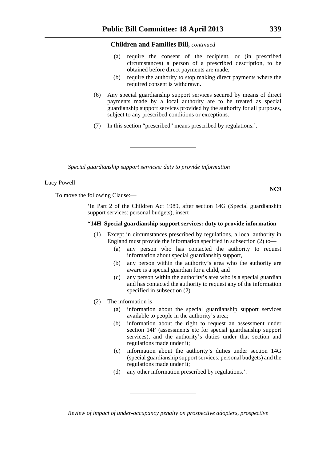- (a) require the consent of the recipient, or (in prescribed circumstances) a person of a prescribed description, to be obtained before direct payments are made;
- (b) require the authority to stop making direct payments where the required consent is withdrawn.
- (6) Any special guardianship support services secured by means of direct payments made by a local authority are to be treated as special guardianship support services provided by the authority for all purposes, subject to any prescribed conditions or exceptions.
- (7) In this section "prescribed" means prescribed by regulations.'.

*Special guardianship support services: duty to provide information*

#### Lucy Powell

To move the following Clause:—

'In Part 2 of the Children Act 1989, after section 14G (Special guardianship support services: personal budgets), insert—

#### **"14H Special guardianship support services: duty to provide information**

- (1) Except in circumstances prescribed by regulations, a local authority in England must provide the information specified in subsection (2) to—
	- (a) any person who has contacted the authority to request information about special guardianship support,
	- (b) any person within the authority's area who the authority are aware is a special guardian for a child, and
	- (c) any person within the authority's area who is a special guardian and has contacted the authority to request any of the information specified in subsection (2).
- (2) The information is—
	- (a) information about the special guardianship support services available to people in the authority's area;
	- (b) information about the right to request an assessment under section 14F (assessments etc for special guardianship support services), and the authority's duties under that section and regulations made under it;
	- (c) information about the authority's duties under section 14G (special guardianship support services: personal budgets) and the regulations made under it;
	- (d) any other information prescribed by regulations.'.

*Review of impact of under-occupancy penalty on prospective adopters, prospective*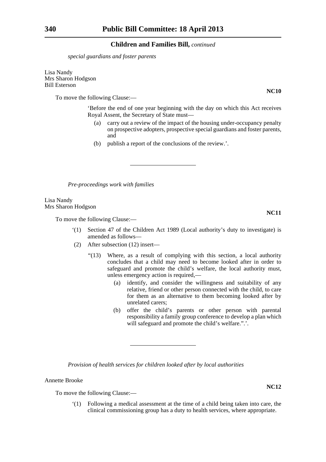*special guardians and foster parents*

Lisa Nandy Mrs Sharon Hodgson Bill Esterson

To move the following Clause:—

'Before the end of one year beginning with the day on which this Act receives Royal Assent, the Secretary of State must—

- (a) carry out a review of the impact of the housing under-occupancy penalty on prospective adopters, prospective special guardians and foster parents, and
- (b) publish a report of the conclusions of the review.'.

*Pre-proceedings work with families*

Lisa Nandy Mrs Sharon Hodgson

To move the following Clause:—

- '(1) Section 47 of the Children Act 1989 (Local authority's duty to investigate) is amended as follows—
- (2) After subsection (12) insert—
	- "(13) Where, as a result of complying with this section, a local authority concludes that a child may need to become looked after in order to safeguard and promote the child's welfare, the local authority must, unless emergency action is required,—
		- (a) identify, and consider the willingness and suitability of any relative, friend or other person connected with the child, to care for them as an alternative to them becoming looked after by unrelated carers;
		- (b) offer the child's parents or other person with parental responsibility a family group conference to develop a plan which will safeguard and promote the child's welfare.".'.

*Provision of health services for children looked after by local authorities*

## Annette Brooke

To move the following Clause:—

'(1) Following a medical assessment at the time of a child being taken into care, the clinical commissioning group has a duty to health services, where appropriate.

**NC10**

**NC11**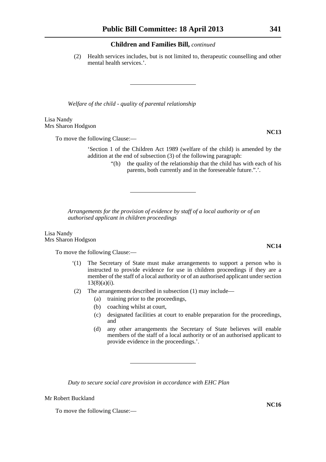(2) Health services includes, but is not limited to, therapeutic counselling and other mental health services.'.

*Welfare of the child - quality of parental relationship*

Lisa Nandy Mrs Sharon Hodgson

To move the following Clause:—

'Section 1 of the Children Act 1989 (welfare of the child) is amended by the addition at the end of subsection (3) of the following paragraph:

> "(h) the quality of the relationship that the child has with each of his parents, both currently and in the foreseeable future.".'.

*Arrangements for the provision of evidence by staff of a local authority or of an authorised applicant in children proceedings*

Lisa Nandy Mrs Sharon Hodgson

To move the following Clause:—

- '(1) The Secretary of State must make arrangements to support a person who is instructed to provide evidence for use in children proceedings if they are a member of the staff of a local authority or of an authorised applicant under section  $13(8)(a)(i)$ .
- (2) The arrangements described in subsection (1) may include—
	- (a) training prior to the proceedings,
	- (b) coaching whilst at court,
	- (c) designated facilities at court to enable preparation for the proceedings, and
	- (d) any other arrangements the Secretary of State believes will enable members of the staff of a local authority or of an authorised applicant to provide evidence in the proceedings.'.

*Duty to secure social care provision in accordance with EHC Plan*

Mr Robert Buckland

To move the following Clause:—

**NC13**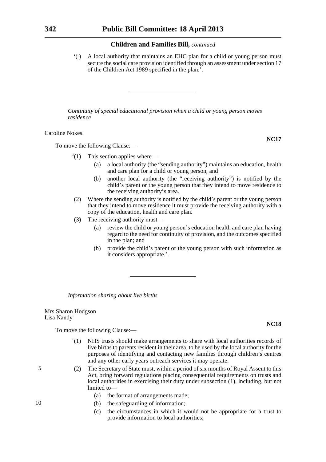'( ) A local authority that maintains an EHC plan for a child or young person must secure the social care provision identified through an assessment under section 17 of the Children Act 1989 specified in the plan.'.

*Continuity of special educational provision when a child or young person moves residence*

Caroline Nokes

To move the following Clause:—

- '(1) This section applies where—
	- (a) a local authority (the "sending authority") maintains an education, health and care plan for a child or young person, and
	- (b) another local authority (the "receiving authority") is notified by the child's parent or the young person that they intend to move residence to the receiving authority's area.
- (2) Where the sending authority is notified by the child's parent or the young person that they intend to move residence it must provide the receiving authority with a copy of the education, health and care plan.
- (3) The receiving authority must—
	- (a) review the child or young person's education health and care plan having regard to the need for continuity of provision, and the outcomes specified in the plan; and
	- (b) provide the child's parent or the young person with such information as it considers appropriate.'.

*Information sharing about live births*

Mrs Sharon Hodgson Lisa Nandy

To move the following Clause:—

- '(1) NHS trusts should make arrangements to share with local authorities records of live births to parents resident in their area, to be used by the local authority for the purposes of identifying and contacting new families through children's centres and any other early years outreach services it may operate.
- (2) The Secretary of State must, within a period of six months of Royal Assent to this Act, bring forward regulations placing consequential requirements on trusts and local authorities in exercising their duty under subsection (1), including, but not limited to—
	- (a) the format of arrangements made;
	- (b) the safeguarding of information;
	- (c) the circumstances in which it would not be appropriate for a trust to provide information to local authorities;

10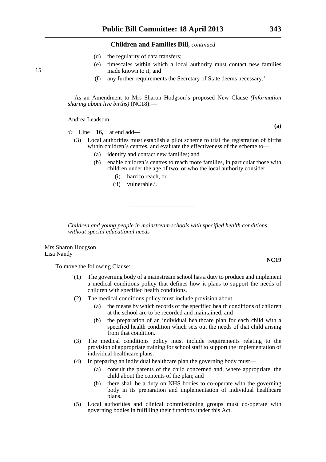- (d) the regularity of data transfers;
- (e) timescales within which a local authority must contact new families made known to it; and
- (f) any further requirements the Secretary of State deems necessary.'.

As an Amendment to Mrs Sharon Hodgson's proposed New Clause *(Information sharing about live births)* (NC18):—

Andrea Leadsom

 $\vec{\mathcal{R}}$  Line **16**, at end add—

- '(3) Local authorities must establish a pilot scheme to trial the registration of births within children's centres, and evaluate the effectiveness of the scheme to—
	- (a) identify and contact new families; and
	- (b) enable children's centres to reach more families, in particular those with children under the age of two, or who the local authority consider—
		- (i) hard to reach, or
		- (ii) vulnerable.'.

*Children and young people in mainstream schools with specified health conditions, without special educational needs*

Mrs Sharon Hodgson Lisa Nandy

To move the following Clause:—

- '(1) The governing body of a mainstream school has a duty to produce and implement a medical conditions policy that defines how it plans to support the needs of children with specified health conditions.
- (2) The medical conditions policy must include provision about—
	- (a) the means by which records of the specified health conditions of children at the school are to be recorded and maintained; and
	- (b) the preparation of an individual healthcare plan for each child with a specified health condition which sets out the needs of that child arising from that condition.
- (3) The medical conditions policy must include requirements relating to the provision of appropriate training for school staff to support the implementation of individual healthcare plans.
- (4) In preparing an individual healthcare plan the governing body must—
	- (a) consult the parents of the child concerned and, where appropriate, the child about the contents of the plan; and
	- (b) there shall be a duty on NHS bodies to co-operate with the governing body in its preparation and implementation of individual healthcare plans.
- (5) Local authorities and clinical commissioning groups must co-operate with governing bodies in fulfilling their functions under this Act.

**(a)**

15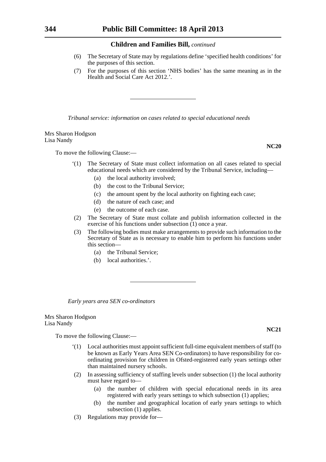- (6) The Secretary of State may by regulations define 'specified health conditions' for the purposes of this section.
- (7) For the purposes of this section 'NHS bodies' has the same meaning as in the Health and Social Care Act 2012.'.

*Tribunal service: information on cases related to special educational needs*

Mrs Sharon Hodgson Lisa Nandy

To move the following Clause:—

- '(1) The Secretary of State must collect information on all cases related to special educational needs which are considered by the Tribunal Service, including—
	- (a) the local authority involved;
	- (b) the cost to the Tribunal Service;
	- (c) the amount spent by the local authority on fighting each case;
	- (d) the nature of each case; and
	- (e) the outcome of each case.
- (2) The Secretary of State must collate and publish information collected in the exercise of his functions under subsection  $(1)$  once a year.
- (3) The following bodies must make arrangements to provide such information to the Secretary of State as is necessary to enable him to perform his functions under this section—
	- (a) the Tribunal Service;
	- (b) local authorities.'.

*Early years area SEN co-ordinators*

Mrs Sharon Hodgson Lisa Nandy

To move the following Clause:—

- '(1) Local authorities must appoint sufficient full-time equivalent members of staff (to be known as Early Years Area SEN Co-ordinators) to have responsibility for coordinating provision for children in Ofsted-registered early years settings other than maintained nursery schools.
- (2) In assessing sufficiency of staffing levels under subsection (1) the local authority must have regard to—
	- (a) the number of children with special educational needs in its area registered with early years settings to which subsection (1) applies;
	- (b) the number and geographical location of early years settings to which subsection (1) applies.
- (3) Regulations may provide for—

**NC20**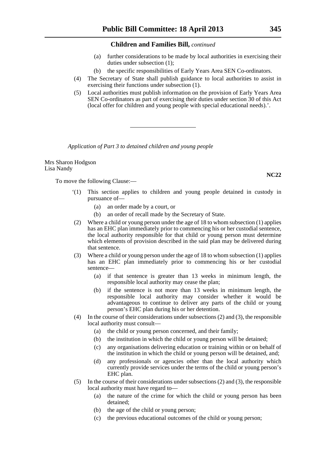- (a) further considerations to be made by local authorities in exercising their duties under subsection (1);
- (b) the specific responsibilities of Early Years Area SEN Co-ordinators.
- (4) The Secretary of State shall publish guidance to local authorities to assist in exercising their functions under subsection (1).
- (5) Local authorities must publish information on the provision of Early Years Area SEN Co-ordinators as part of exercising their duties under section 30 of this Act (local offer for children and young people with special educational needs).'.

*Application of Part 3 to detained children and young people*

Mrs Sharon Hodgson Lisa Nandy

To move the following Clause:—

- '(1) This section applies to children and young people detained in custody in pursuance of—
	- (a) an order made by a court, or
	- (b) an order of recall made by the Secretary of State.
- (2) Where a child or young person under the age of 18 to whom subsection (1) applies has an EHC plan immediately prior to commencing his or her custodial sentence, the local authority responsible for that child or young person must determine which elements of provision described in the said plan may be delivered during that sentence.
- (3) Where a child or young person under the age of 18 to whom subsection (1) applies has an EHC plan immediately prior to commencing his or her custodial sentence—
	- (a) if that sentence is greater than 13 weeks in minimum length, the responsible local authority may cease the plan;
	- (b) if the sentence is not more than 13 weeks in minimum length, the responsible local authority may consider whether it would be advantageous to continue to deliver any parts of the child or young person's EHC plan during his or her detention.
- (4) In the course of their considerations under subsections (2) and (3), the responsible local authority must consult—
	- (a) the child or young person concerned, and their family;
	- (b) the institution in which the child or young person will be detained;
	- (c) any organisations delivering education or training within or on behalf of the institution in which the child or young person will be detained, and;
	- (d) any professionals or agencies other than the local authority which currently provide services under the terms of the child or young person's EHC plan.
- (5) In the course of their considerations under subsections (2) and (3), the responsible local authority must have regard to—
	- (a) the nature of the crime for which the child or young person has been detained;
	- (b) the age of the child or young person;
	- (c) the previous educational outcomes of the child or young person;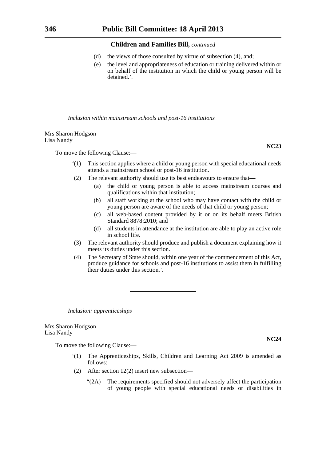- (d) the views of those consulted by virtue of subsection (4), and;
- (e) the level and appropriateness of education or training delivered within or on behalf of the institution in which the child or young person will be detained.'.

*Inclusion within mainstream schools and post-16 institutions*

Mrs Sharon Hodgson Lisa Nandy

To move the following Clause:—

- '(1) This section applies where a child or young person with special educational needs attends a mainstream school or post-16 institution.
- (2) The relevant authority should use its best endeavours to ensure that—
	- (a) the child or young person is able to access mainstream courses and qualifications within that institution;
	- (b) all staff working at the school who may have contact with the child or young person are aware of the needs of that child or young person;
	- (c) all web-based content provided by it or on its behalf meets British Standard 8878:2010; and
	- (d) all students in attendance at the institution are able to play an active role in school life.
- (3) The relevant authority should produce and publish a document explaining how it meets its duties under this section.
- (4) The Secretary of State should, within one year of the commencement of this Act, produce guidance for schools and post-16 institutions to assist them in fulfilling their duties under this section.'.

*Inclusion: apprenticeships*

Mrs Sharon Hodgson Lisa Nandy

To move the following Clause:—

- '(1) The Apprenticeships, Skills, Children and Learning Act 2009 is amended as follows:
- (2) After section 12(2) insert new subsection—
	- "(2A) The requirements specified should not adversely affect the participation of young people with special educational needs or disabilities in



**NC24**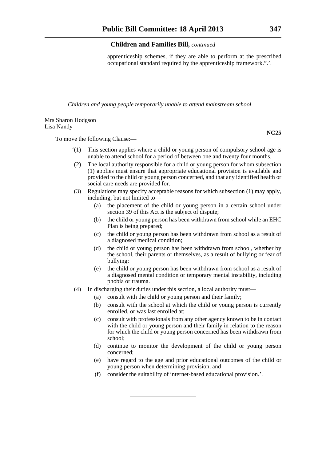apprenticeship schemes, if they are able to perform at the prescribed occupational standard required by the apprenticeship framework.".'.

*Children and young people temporarily unable to attend mainstream school*

#### Mrs Sharon Hodgson Lisa Nandy

To move the following Clause:—

- '(1) This section applies where a child or young person of compulsory school age is unable to attend school for a period of between one and twenty four months.
- (2) The local authority responsible for a child or young person for whom subsection (1) applies must ensure that appropriate educational provision is available and provided to the child or young person concerned, and that any identified health or social care needs are provided for.
- (3) Regulations may specify acceptable reasons for which subsection (1) may apply, including, but not limited to—
	- (a) the placement of the child or young person in a certain school under section 39 of this Act is the subject of dispute;
	- (b) the child or young person has been withdrawn from school while an EHC Plan is being prepared;
	- (c) the child or young person has been withdrawn from school as a result of a diagnosed medical condition;
	- (d) the child or young person has been withdrawn from school, whether by the school, their parents or themselves, as a result of bullying or fear of bullying;
	- (e) the child or young person has been withdrawn from school as a result of a diagnosed mental condition or temporary mental instability, including phobia or trauma.
- (4) In discharging their duties under this section, a local authority must—
	- (a) consult with the child or young person and their family;
	- (b) consult with the school at which the child or young person is currently enrolled, or was last enrolled at;
	- (c) consult with professionals from any other agency known to be in contact with the child or young person and their family in relation to the reason for which the child or young person concerned has been withdrawn from school;
	- (d) continue to monitor the development of the child or young person concerned;
	- (e) have regard to the age and prior educational outcomes of the child or young person when determining provision, and
	- (f) consider the suitability of internet-based educational provision.'.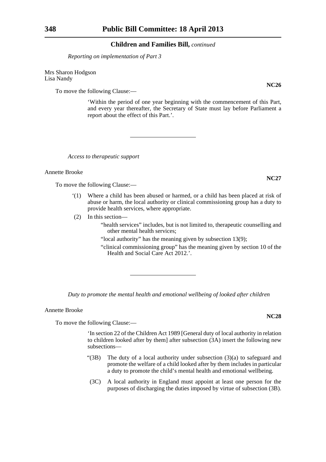*Reporting on implementation of Part 3*

Mrs Sharon Hodgson Lisa Nandy

To move the following Clause:—

'Within the period of one year beginning with the commencement of this Part, and every year thereafter, the Secretary of State must lay before Parliament a report about the effect of this Part.'.

*Access to therapeutic support*

Annette Brooke

To move the following Clause:—

- '(1) Where a child has been abused or harmed, or a child has been placed at risk of abuse or harm, the local authority or clinical commissioning group has a duty to provide health services, where appropriate.
- (2) In this section—

"health services" includes, but is not limited to, therapeutic counselling and other mental health services;

- "local authority" has the meaning given by subsection 13(9);
- "clinical commissioning group" has the meaning given by section 10 of the Health and Social Care Act 2012.'.

*Duty to promote the mental health and emotional wellbeing of looked after children*

Annette Brooke

To move the following Clause:—

'In section 22 of the Children Act 1989 [General duty of local authority in relation to children looked after by them] after subsection (3A) insert the following new subsections—

- "(3B) The duty of a local authority under subsection (3)(a) to safeguard and promote the welfare of a child looked after by them includes in particular a duty to promote the child's mental health and emotional wellbeing.
- (3C) A local authority in England must appoint at least one person for the purposes of discharging the duties imposed by virtue of subsection (3B).

**NC26**

**NC27**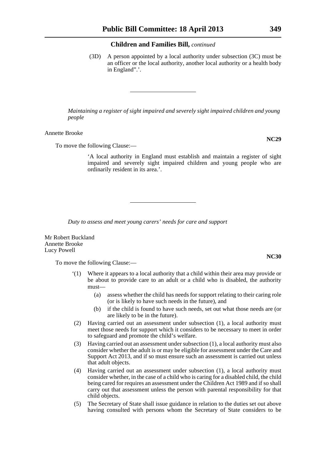(3D) A person appointed by a local authority under subsection (3C) must be an officer or the local authority, another local authority or a health body in England".'.

*Maintaining a register of sight impaired and severely sight impaired children and young people*

Annette Brooke

To move the following Clause:—

'A local authority in England must establish and maintain a register of sight impaired and severely sight impaired children and young people who are ordinarily resident in its area.'.

*Duty to assess and meet young carers' needs for care and support*

Mr Robert Buckland Annette Brooke Lucy Powell

To move the following Clause:—

- '(1) Where it appears to a local authority that a child within their area may provide or be about to provide care to an adult or a child who is disabled, the authority must—
	- (a) assess whether the child has needs for support relating to their caring role (or is likely to have such needs in the future), and
	- (b) if the child is found to have such needs, set out what those needs are (or are likely to be in the future).
- (2) Having carried out an assessment under subsection (1), a local authority must meet those needs for support which it considers to be necessary to meet in order to safeguard and promote the child's welfare.
- (3) Having carried out an assessment under subsection (1), a local authority must also consider whether the adult is or may be eligible for assessment under the Care and Support Act 2013, and if so must ensure such an assessment is carried out unless that adult objects.
- (4) Having carried out an assessment under subsection (1), a local authority must consider whether, in the case of a child who is caring for a disabled child, the child being cared for requires an assessment under the Children Act 1989 and if so shall carry out that assessment unless the person with parental responsibility for that child objects.
- (5) The Secretary of State shall issue guidance in relation to the duties set out above having consulted with persons whom the Secretary of State considers to be

**NC29**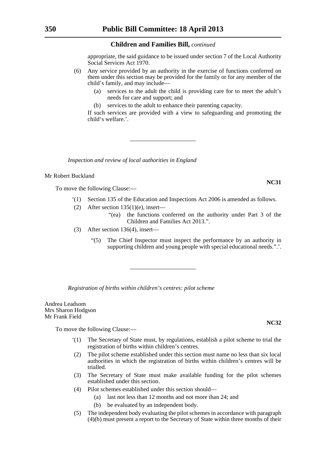appropriate, the said guidance to be issued under section 7 of the Local Authority Social Services Act 1970.

- (6) Any service provided by an authority in the exercise of functions conferred on them under this section may be provided for the family or for any member of the child's family, and may include—
	- (a) services to the adult the child is providing care for to meet the adult's needs for care and support; and
	- (b) services to the adult to enhance their parenting capacity.

If such services are provided with a view to safeguarding and promoting the child's welfare.'.

*Inspection and review of local authorities in England*

#### Mr Robert Buckland

To move the following Clause:—

- '(1) Section 135 of the Education and Inspections Act 2006 is amended as follows.
- (2) After section  $135(1)(e)$ , insert—
	- "(ea) the functions conferred on the authority under Part 3 of the Children and Families Act 2013.".
- (3) After section 136(4), insert—
	- "(5) The Chief Inspector must inspect the performance by an authority in supporting children and young people with special educational needs.".'.

*Registration of births within children's centres: pilot scheme*

Andrea Leadsom Mrs Sharon Hodgson Mr Frank Field

To move the following Clause:—

- '(1) The Secretary of State must, by regulations, establish a pilot scheme to trial the registration of births within children's centres.
- (2) The pilot scheme established under this section must name no less than six local authorities in which the registration of births within children's centres will be trialled.
- (3) The Secretary of State must make available funding for the pilot schemes established under this section.
- (4) Pilot schemes established under this section should—
	- (a) last not less than 12 months and not more than 24; and
	- (b) be evaluated by an independent body.
- (5) The independent body evaluating the pilot schemes in accordance with paragraph (4)(b) must present a report to the Secretary of State within three months of their

**NC31**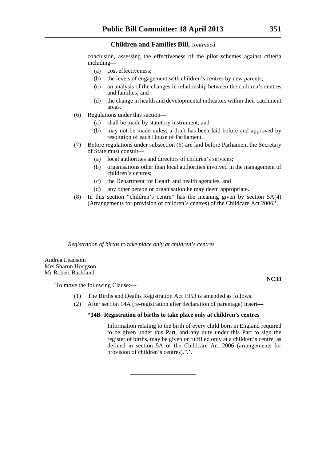conclusion, assessing the effectiveness of the pilot schemes against criteria including—

- (a) cost effectiveness;
- (b) the levels of engagement with children's centres by new parents;
- (c) an analysis of the changes in relationship between the children's centres and families; and
- (d) the change in health and developmental indicators within their catchment areas.
- (6) Regulations under this section—
	- (a) shall be made by statutory instrument, and
	- (b) may not be made unless a draft has been laid before and approved by resolution of each House of Parliament.
- (7) Before regulations under subsection (6) are laid before Parliament the Secretary of State must consult—
	- (a) local authorities and directors of children's services;
	- (b) organisations other than local authorities involved in the management of children's centres;
	- (c) the Department for Health and health agencies, and
	- (d) any other person or organisation he may deem appropriate.
- (8) In this section "children's centre" has the meaning given by section  $5A(4)$ (Arrangements for provision of children's centres) of the Childcare Act 2006.'.

*Registration of births to take place only at children's centres*

Andrea Leadsom Mrs Sharon Hodgson Mr Robert Buckland

To move the following Clause:—

**NC33**

- '(1) The Births and Deaths Registration Act 1953 is amended as follows.
- (2) After section 14A (re-registration after declaration of parentage) insert—

### **"14B Registration of births to take place only at children's centres**

Information relating to the birth of every child born in England required to be given under this Part, and any duty under this Part to sign the register of births, may be given or fulfilled only at a children's centre, as defined in section 5A of the Childcare Act 2006 (arrangements for provision of children's centres).".'.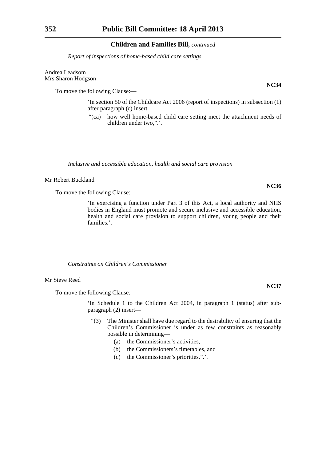*Report of inspections of home-based child care settings*

Andrea Leadsom Mrs Sharon Hodgson

To move the following Clause:—

'In section 50 of the Childcare Act 2006 (report of inspections) in subsection (1) after paragraph (c) insert—

"(ca) how well home-based child care setting meet the attachment needs of children under two,".'.

*Inclusive and accessible education, health and social care provision*

#### Mr Robert Buckland

To move the following Clause:—

'In exercising a function under Part 3 of this Act, a local authority and NHS bodies in England must promote and secure inclusive and accessible education, health and social care provision to support children, young people and their families.'.

*Constraints on Children's Commissioner*

Mr Steve Reed

To move the following Clause:—

'In Schedule 1 to the Children Act 2004, in paragraph 1 (status) after subparagraph (2) insert—

- "(3) The Minister shall have due regard to the desirability of ensuring that the Children's Commissioner is under as few constraints as reasonably possible in determining—
	- (a) the Commissioner's activities,
	- (b) the Commissioners's timetables, and
	- (c) the Commissioner's priorities.".'.

**NC37**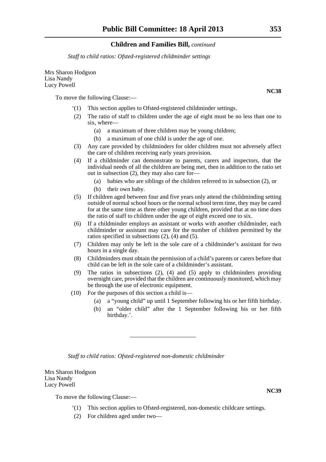*Staff to child ratios: Ofsted-registered childminder settings*

Mrs Sharon Hodgson Lisa Nandy Lucy Powell

To move the following Clause:—

- '(1) This section applies to Ofsted-registered childminder settings.
- (2) The ratio of staff to children under the age of eight must be no less than one to six, where—
	- (a) a maximum of three children may be young children;
	- (b) a maximum of one child is under the age of one.
- (3) Any care provided by childminders for older children must not adversely affect the care of children receiving early years provision.
- (4) If a childminder can demonstrate to parents, carers and inspectors, that the individual needs of all the children are being met, then in addition to the ratio set out in subsection (2), they may also care for—
	- (a) babies who are siblings of the children referred to in subsection (2), or
	- (b) their own baby.
- (5) If children aged between four and five years only attend the childminding setting outside of normal school hours or the normal school term time, they may be cared for at the same time as three other young children, provided that at no time does the ratio of staff to children under the age of eight exceed one to six.
- (6) If a childminder employs an assistant or works with another childminder, each childminder or assistant may care for the number of children permitted by the ratios specified in subsections (2), (4) and (5).
- (7) Children may only be left in the sole care of a childminder's assistant for two hours in a single day.
- (8) Childminders must obtain the permission of a child's parents or carers before that child can be left in the sole care of a childminder's assistant.
- (9) The ratios in subsections (2), (4) and (5) apply to childminders providing overnight care, provided that the children are continuously monitored, which may be through the use of electronic equipment.
- (10) For the purposes of this section a child is—
	- (a) a "young child" up until 1 September following his or her fifth birthday.
	- (b) an "older child" after the 1 September following his or her fifth birthday.'.

*Staff to child ratios: Ofsted-registered non-domestic childminder*

Mrs Sharon Hodgson Lisa Nandy Lucy Powell

To move the following Clause:—

- '(1) This section applies to Ofsted-registered, non-domestic childcare settings.
- (2) For children aged under two—

**NC39**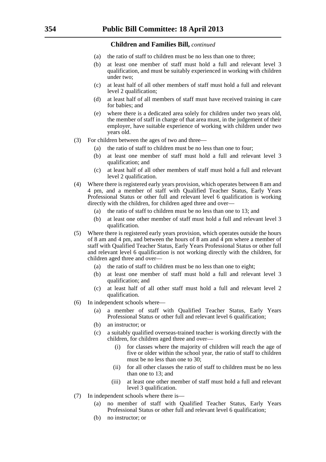- (a) the ratio of staff to children must be no less than one to three;
- (b) at least one member of staff must hold a full and relevant level 3 qualification, and must be suitably experienced in working with children under two;
- (c) at least half of all other members of staff must hold a full and relevant level 2 qualification;
- (d) at least half of all members of staff must have received training in care for babies; and
- (e) where there is a dedicated area solely for children under two years old, the member of staff in charge of that area must, in the judgement of their employer, have suitable experience of working with children under two years old.
- (3) For children between the ages of two and three—
	- (a) the ratio of staff to children must be no less than one to four;
	- (b) at least one member of staff must hold a full and relevant level 3 qualification; and
	- (c) at least half of all other members of staff must hold a full and relevant level 2 qualification.
- (4) Where there is registered early years provision, which operates between 8 am and 4 pm, and a member of staff with Qualified Teacher Status, Early Years Professional Status or other full and relevant level 6 qualification is working directly with the children, for children aged three and over—
	- (a) the ratio of staff to children must be no less than one to 13; and
	- (b) at least one other member of staff must hold a full and relevant level 3 qualification.
- (5) Where there is registered early years provision, which operates outside the hours of 8 am and 4 pm, and between the hours of 8 am and  $\overline{4}$  pm where a member of staff with Qualified Teacher Status, Early Years Professional Status or other full and relevant level 6 qualification is not working directly with the children, for children aged three and over—
	- (a) the ratio of staff to children must be no less than one to eight;
	- (b) at least one member of staff must hold a full and relevant level 3 qualification; and
	- (c) at least half of all other staff must hold a full and relevant level 2 qualification.
- (6) In independent schools where—
	- (a) a member of staff with Qualified Teacher Status, Early Years Professional Status or other full and relevant level 6 qualification;
	- (b) an instructor; or
	- (c) a suitably qualified overseas-trained teacher is working directly with the children, for children aged three and over—
		- (i) for classes where the majority of children will reach the age of five or older within the school year, the ratio of staff to children must be no less than one to 30;
		- (ii) for all other classes the ratio of staff to children must be no less than one to 13; and
		- (iii) at least one other member of staff must hold a full and relevant level 3 qualification.
- (7) In independent schools where there is—
	- (a) no member of staff with Qualified Teacher Status, Early Years Professional Status or other full and relevant level 6 qualification;
	- (b) no instructor; or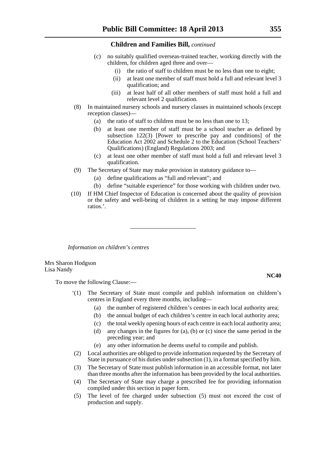- (c) no suitably qualified overseas-trained teacher, working directly with the children, for children aged three and over—
	- (i) the ratio of staff to children must be no less than one to eight;
	- (ii) at least one member of staff must hold a full and relevant level 3 qualification; and
	- (iii) at least half of all other members of staff must hold a full and relevant level 2 qualification.
- (8) In maintained nursery schools and nursery classes in maintained schools (except reception classes)—
	- (a) the ratio of staff to children must be no less than one to 13;
	- (b) at least one member of staff must be a school teacher as defined by subsection 122(3) [Power to prescribe pay and conditions] of the Education Act 2002 and Schedule 2 to the Education (School Teachers' Qualifications) (England) Regulations 2003; and
	- (c) at least one other member of staff must hold a full and relevant level 3 qualification.
- (9) The Secretary of State may make provision in statutory guidance to—
	- (a) define qualifications as "full and relevant"; and
	- (b) define "suitable experience" for those working with children under two.
- (10) If HM Chief Inspector of Education is concerned about the quality of provision or the safety and well-being of children in a setting he may impose different ratios.'.

*Information on children's centres*

Mrs Sharon Hodgson Lisa Nandy

To move the following Clause:—

- '(1) The Secretary of State must compile and publish information on children's centres in England every three months, including—
	- (a) the number of registered children's centres in each local authority area;
	- (b) the annual budget of each children's centre in each local authority area;
	- (c) the total weekly opening hours of each centre in each local authority area;
	- (d) any changes in the figures for (a), (b) or (c) since the same period in the preceding year; and
	- (e) any other information he deems useful to compile and publish.
- (2) Local authorities are obliged to provide information requested by the Secretary of State in pursuance of his duties under subsection (1), in a format specified by him.
- (3) The Secretary of State must publish information in an accessible format, not later than three months after the information has been provided by the local authorities.
- (4) The Secretary of State may charge a prescribed fee for providing information compiled under this section in paper form.
- (5) The level of fee charged under subsection (5) must not exceed the cost of production and supply.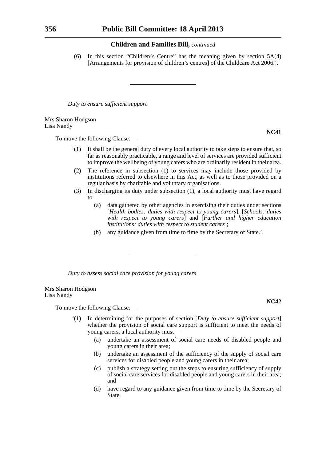(6) In this section "Children's Centre" has the meaning given by section 5A(4) [Arrangements for provision of children's centres] of the Childcare Act 2006.'.

*Duty to ensure sufficient support*

Mrs Sharon Hodgson Lisa Nandy

To move the following Clause:—

- '(1) It shall be the general duty of every local authority to take steps to ensure that, so far as reasonably practicable, a range and level of services are provided sufficient to improve the wellbeing of young carers who are ordinarily resident in their area.
- (2) The reference in subsection (1) to services may include those provided by institutions referred to elsewhere in this Act, as well as to those provided on a regular basis by charitable and voluntary organisations.
- (3) In discharging its duty under subsection (1), a local authority must have regard  $t_0$ 
	- (a) data gathered by other agencies in exercising their duties under sections [*Health bodies: duties with respect to young carers*], [*Schools: duties with respect to young carers*] and [*Further and higher education institutions: duties with respect to student carers*];
	- (b) any guidance given from time to time by the Secretary of State.'.

*Duty to assess social care provision for young carers*

Mrs Sharon Hodgson Lisa Nandy

To move the following Clause:—

- In determining for the purposes of section [*Duty to ensure sufficient support*] whether the provision of social care support is sufficient to meet the needs of young carers, a local authority must—
	- (a) undertake an assessment of social care needs of disabled people and young carers in their area;
	- (b) undertake an assessment of the sufficiency of the supply of social care services for disabled people and young carers in their area;
	- (c) publish a strategy setting out the steps to ensuring sufficiency of supply of social care services for disabled people and young carers in their area; and
	- (d) have regard to any guidance given from time to time by the Secretary of State.

**NC41**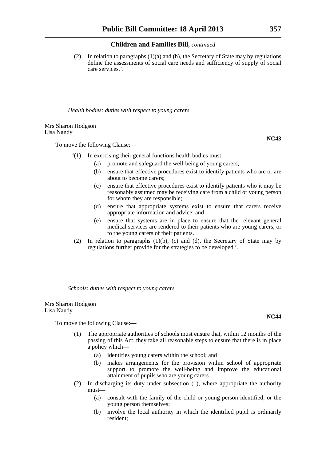(2) In relation to paragraphs (1)(a) and (b), the Secretary of State may by regulations define the assessments of social care needs and sufficiency of supply of social care services.'.

*Health bodies: duties with respect to young carers*

Mrs Sharon Hodgson Lisa Nandy

To move the following Clause:—

- '(1) In exercising their general functions health bodies must—
	- (a) promote and safeguard the well-being of young carers;
	- (b) ensure that effective procedures exist to identify patients who are or are about to become carers;
	- (c) ensure that effective procedures exist to identify patients who it may be reasonably assumed may be receiving care from a child or young person for whom they are responsible;
	- (d) ensure that appropriate systems exist to ensure that carers receive appropriate information and advice; and
	- (e) ensure that systems are in place to ensure that the relevant general medical services are rendered to their patients who are young carers, or to the young carers of their patients.
- (2) In relation to paragraphs (1)(b), (c) and (d), the Secretary of State may by regulations further provide for the strategies to be developed.'.

*Schools: duties with respect to young carers*

Mrs Sharon Hodgson Lisa Nandy

To move the following Clause:—

- '(1) The appropriate authorities of schools must ensure that, within 12 months of the passing of this Act, they take all reasonable steps to ensure that there is in place a policy which—
	- (a) identifies young carers within the school; and
	- (b) makes arrangements for the provision within school of appropriate support to promote the well-being and improve the educational attainment of pupils who are young carers.
- (2) In discharging its duty under subsection (1), where appropriate the authority must—
	- (a) consult with the family of the child or young person identified, or the young person themselves;
	- (b) involve the local authority in which the identified pupil is ordinarily resident;

# **NC44**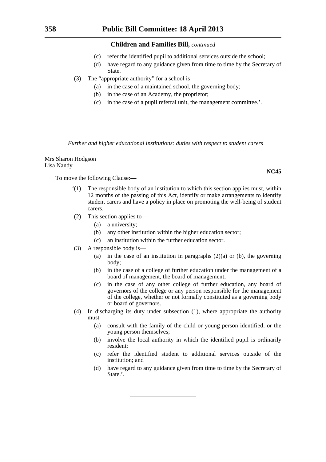- (c) refer the identified pupil to additional services outside the school;
- (d) have regard to any guidance given from time to time by the Secretary of State.
- (3) The "appropriate authority" for a school is—
	- (a) in the case of a maintained school, the governing body;
	- (b) in the case of an Academy, the proprietor;
	- (c) in the case of a pupil referral unit, the management committee.'.

*Further and higher educational institutions: duties with respect to student carers*

Mrs Sharon Hodgson Lisa Nandy

To move the following Clause:—

- '(1) The responsible body of an institution to which this section applies must, within 12 months of the passing of this Act, identify or make arrangements to identify student carers and have a policy in place on promoting the well-being of student carers.
- (2) This section applies to—
	- (a) a university;
	- (b) any other institution within the higher education sector;
	- (c) an institution within the further education sector.
- (3) A responsible body is—
	- (a) in the case of an institution in paragraphs  $(2)(a)$  or (b), the governing body;
	- (b) in the case of a college of further education under the management of a board of management, the board of management;
	- (c) in the case of any other college of further education, any board of governors of the college or any person responsible for the management of the college, whether or not formally constituted as a governing body or board of governors.
- (4) In discharging its duty under subsection (1), where appropriate the authority must—
	- (a) consult with the family of the child or young person identified, or the young person themselves;
	- (b) involve the local authority in which the identified pupil is ordinarily resident;
	- (c) refer the identified student to additional services outside of the institution; and
	- (d) have regard to any guidance given from time to time by the Secretary of State.'.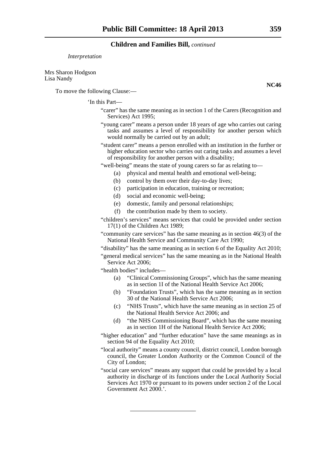#### *Interpretation*

Mrs Sharon Hodgson Lisa Nandy

To move the following Clause:—

#### 'In this Part—

- "carer" has the same meaning as in section 1 of the Carers (Recognition and Services) Act 1995;
- "young carer" means a person under 18 years of age who carries out caring tasks and assumes a level of responsibility for another person which would normally be carried out by an adult;
- "student carer" means a person enrolled with an institution in the further or higher education sector who carries out caring tasks and assumes a level of responsibility for another person with a disability;

"well-being" means the state of young carers so far as relating to—

- (a) physical and mental health and emotional well-being;
- (b) control by them over their day-to-day lives;
- (c) participation in education, training or recreation;
- (d) social and economic well-being;
- (e) domestic, family and personal relationships;
- (f) the contribution made by them to society.

"children's services" means services that could be provided under section 17(1) of the Children Act 1989;

"community care services" has the same meaning as in section 46(3) of the National Health Service and Community Care Act 1990;

"disability" has the same meaning as in section 6 of the Equality Act 2010;

"general medical services" has the same meaning as in the National Health Service Act 2006;

"health bodies" includes—

- (a) "Clinical Commissioning Groups", which has the same meaning as in section 1I of the National Health Service Act 2006;
- (b) "Foundation Trusts", which has the same meaning as in section 30 of the National Health Service Act 2006;
- (c) "NHS Trusts", which have the same meaning as in section 25 of the National Health Service Act 2006; and
- (d) "the NHS Commissioning Board", which has the same meaning as in section 1H of the National Health Service Act 2006;
- "higher education" and "further education" have the same meanings as in section 94 of the Equality Act 2010:
- "local authority" means a county council, district council, London borough council, the Greater London Authority or the Common Council of the City of London;
- "social care services" means any support that could be provided by a local authority in discharge of its functions under the Local Authority Social Services Act 1970 or pursuant to its powers under section 2 of the Local Government Act 2000.'.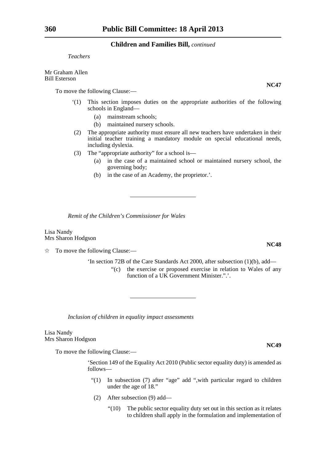*Teachers*

Mr Graham Allen Bill Esterson

To move the following Clause:—

- '(1) This section imposes duties on the appropriate authorities of the following schools in England—
	- (a) mainstream schools;
	- (b) maintained nursery schools.
- (2) The appropriate authority must ensure all new teachers have undertaken in their initial teacher training a mandatory module on special educational needs, including dyslexia.
- (3) The "appropriate authority" for a school is—
	- (a) in the case of a maintained school or maintained nursery school, the governing body;
	- (b) in the case of an Academy, the proprietor.'.

*Remit of the Children's Commissioner for Wales*

Lisa Nandy Mrs Sharon Hodgson

 $\hat{\mathbb{R}}$  To move the following Clause:—

'In section 72B of the Care Standards Act 2000, after subsection (1)(b), add—

"(c) the exercise or proposed exercise in relation to Wales of any function of a UK Government Minister.".'.

*Inclusion of children in equality impact assessments*

Lisa Nandy Mrs Sharon Hodgson

To move the following Clause:—

'Section 149 of the Equality Act 2010 (Public sector equality duty) is amended as follows—

- "(1) In subsection (7) after "age" add ",with particular regard to children under the age of 18."
- (2) After subsection (9) add—
	- "(10) The public sector equality duty set out in this section as it relates to children shall apply in the formulation and implementation of

**NC47**

**NC48**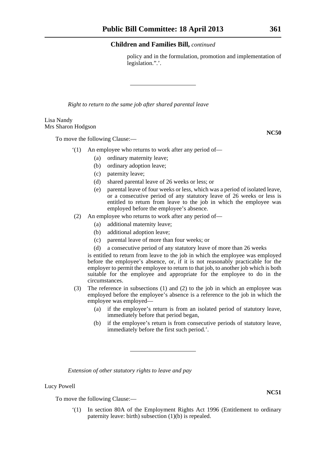policy and in the formulation, promotion and implementation of legislation.".'.

*Right to return to the same job after shared parental leave* 

#### Lisa Nandy Mrs Sharon Hodgson

To move the following Clause:—

- '(1) An employee who returns to work after any period of—
	- (a) ordinary maternity leave;
	- (b) ordinary adoption leave;
	- (c) paternity leave;
	- (d) shared parental leave of 26 weeks or less; or
	- (e) parental leave of four weeks or less, which was a period of isolated leave, or a consecutive period of any statutory leave of 26 weeks or less is entitled to return from leave to the job in which the employee was employed before the employee's absence.
	- (2) An employee who returns to work after any period of—
		- (a) additional maternity leave;
		- (b) additional adoption leave;
		- (c) parental leave of more than four weeks; or
		- (d) a consecutive period of any statutory leave of more than 26 weeks

is entitled to return from leave to the job in which the employee was employed before the employee's absence, or, if it is not reasonably practicable for the employer to permit the employee to return to that job, to another job which is both suitable for the employee and appropriate for the employee to do in the circumstances.

- (3) The reference in subsections (1) and (2) to the job in which an employee was employed before the employee's absence is a reference to the job in which the employee was employed—
	- (a) if the employee's return is from an isolated period of statutory leave, immediately before that period began,
	- (b) if the employee's return is from consecutive periods of statutory leave, immediately before the first such period.'.

*Extension of other statutory rights to leave and pay*

Lucy Powell

To move the following Clause:—

'(1) In section 80A of the Employment Rights Act 1996 (Entitlement to ordinary paternity leave: birth) subsection (1)(b) is repealed.

**NC51**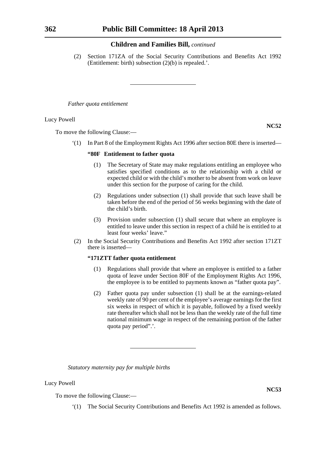(2) Section 171ZA of the Social Security Contributions and Benefits Act 1992 (Entitlement: birth) subsection (2)(b) is repealed.'.

*Father quota entitlement*

Lucy Powell

**NC52**

To move the following Clause:—

'(1) In Part 8 of the Employment Rights Act 1996 after section 80E there is inserted—

#### **"80F Entitlement to father quota**

- (1) The Secretary of State may make regulations entitling an employee who satisfies specified conditions as to the relationship with a child or expected child or with the child's mother to be absent from work on leave under this section for the purpose of caring for the child.
- (2) Regulations under subsection (1) shall provide that such leave shall be taken before the end of the period of 56 weeks beginning with the date of the child's birth.
- (3) Provision under subsection (1) shall secure that where an employee is entitled to leave under this section in respect of a child he is entitled to at least four weeks' leave."
- (2) In the Social Security Contributions and Benefits Act 1992 after section 171ZT there is inserted—

### **"171ZTT father quota entitlement**

- (1) Regulations shall provide that where an employee is entitled to a father quota of leave under Section 80F of the Employment Rights Act 1996, the employee is to be entitled to payments known as "father quota pay".
- (2) Father quota pay under subsection (1) shall be at the earnings-related weekly rate of 90 per cent of the employee's average earnings for the first six weeks in respect of which it is payable, followed by a fixed weekly rate thereafter which shall not be less than the weekly rate of the full time national minimum wage in respect of the remaining portion of the father quota pay period".'.

*Statutory maternity pay for multiple births*

Lucy Powell

To move the following Clause:—

'(1) The Social Security Contributions and Benefits Act 1992 is amended as follows.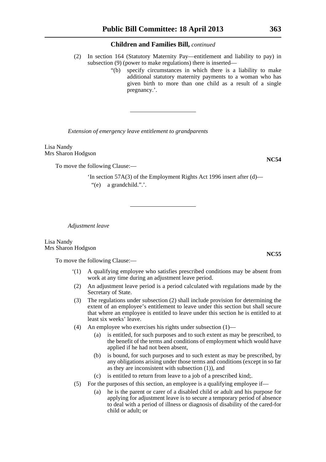- (2) In section 164 (Statutory Maternity Pay—entitlement and liability to pay) in subsection (9) (power to make regulations) there is inserted—
	- "(b) specify circumstances in which there is a liability to make additional statutory maternity payments to a woman who has given birth to more than one child as a result of a single pregnancy.'.

*Extension of emergency leave entitlement to grandparents*

Lisa Nandy Mrs Sharon Hodgson

To move the following Clause:—

'In section 57A(3) of the Employment Rights Act 1996 insert after (d)— "(e) a grandchild.".'.

*Adjustment leave*

Lisa Nandy Mrs Sharon Hodgson

To move the following Clause:—

- '(1) A qualifying employee who satisfies prescribed conditions may be absent from work at any time during an adjustment leave period.
- (2) An adjustment leave period is a period calculated with regulations made by the Secretary of State.
- (3) The regulations under subsection (2) shall include provision for determining the extent of an employee's entitlement to leave under this section but shall secure that where an employee is entitled to leave under this section he is entitled to at least six weeks' leave.
- (4) An employee who exercises his rights under subsection (1)—
	- (a) is entitled, for such purposes and to such extent as may be prescribed, to the benefit of the terms and conditions of employment which would have applied if he had not been absent,
	- (b) is bound, for such purposes and to such extent as may be prescribed, by any obligations arising under those terms and conditions (except in so far as they are inconsistent with subsection (1)), and
	- (c) is entitled to return from leave to a job of a prescribed kind;.
- (5) For the purposes of this section, an employee is a qualifying employee if—
	- (a) he is the parent or carer of a disabled child or adult and his purpose for applying for adjustment leave is to secure a temporary period of absence to deal with a period of illness or diagnosis of disability of the cared-for child or adult; or

**NC54**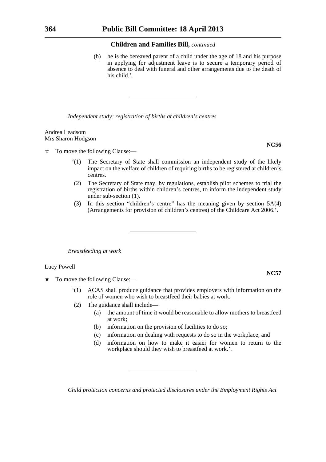(b) he is the bereaved parent of a child under the age of 18 and his purpose in applying for adjustment leave is to secure a temporary period of absence to deal with funeral and other arrangements due to the death of his child.'.

*Independent study: registration of births at children's centres*

#### Andrea Leadsom Mrs Sharon Hodgson

 $\hat{\mathbb{R}}$  To move the following Clause:—

- '(1) The Secretary of State shall commission an independent study of the likely impact on the welfare of children of requiring births to be registered at children's centres.
- (2) The Secretary of State may, by regulations, establish pilot schemes to trial the registration of births within children's centres, to inform the independent study under sub-section (1).
- (3) In this section "children's centre" has the meaning given by section 5A(4) (Arrangements for provision of children's centres) of the Childcare Act 2006.'.

*Breastfeeding at work*

#### Lucy Powell

- $\star$  To move the following Clause:—
	- '(1) ACAS shall produce guidance that provides employers with information on the role of women who wish to breastfeed their babies at work.
	- (2) The guidance shall include—
		- (a) the amount of time it would be reasonable to allow mothers to breastfeed at work;
		- (b) information on the provision of facilities to do so;
		- (c) information on dealing with requests to do so in the workplace; and
		- (d) information on how to make it easier for women to return to the workplace should they wish to breastfeed at work.'.

*Child protection concerns and protected disclosures under the Employment Rights Act* 

**NC56**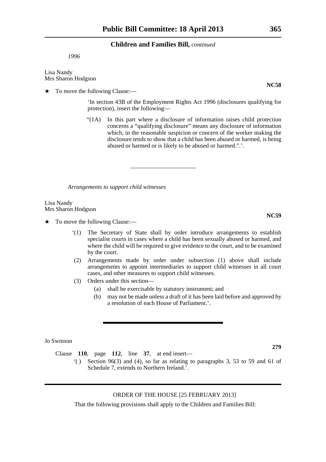*1996*

Lisa Nandy Mrs Sharon Hodgson

 $\star$  To move the following Clause:—

'In section 43B of the Employment Rights Act 1996 (disclosures qualifying for protection), insert the following—

"(1A) In this part where a disclosure of information raises child protection concerns a "qualifying disclosure" means any disclosure of information which, in the reasonable suspicion or concern of the worker making the disclosure tends to show that a child has been abused or harmed, is being abused or harmed or is likely to be abused or harmed.".'.

*Arrangements to support child witnesses*

Lisa Nandy Mrs Sharon Hodgson

- $\star$  To move the following Clause:—
	- '(1) The Secretary of State shall by order introduce arrangements to establish specialist courts in cases where a child has been sexually abused or harmed, and where the child will be required to give evidence to the court, and to be examined by the court.
	- (2) Arrangements made by order under subsection (1) above shall include arrangements to appoint intermediaries to support child witnesses in all court cases, and other measures to support child witnesses.
	- (3) Orders under this section—
		- (a) shall be exercisable by statutory instrument; and
		- (b) may not be made unless a draft of it has been laid before and approved by a resolution of each House of Parliament.'.

Jo Swinson

Clause **110**, page **112**, line **37**, at end insert—

 $'($ ) Section 96(3) and (4), so far as relating to paragraphs 3, 53 to 59 and 61 of Schedule 7, extends to Northern Ireland.'.

## ORDER OF THE HOUSE [25 FEBRUARY 2013]

That the following provisions shall apply to the Children and Families Bill:

**NC58**

**NC59**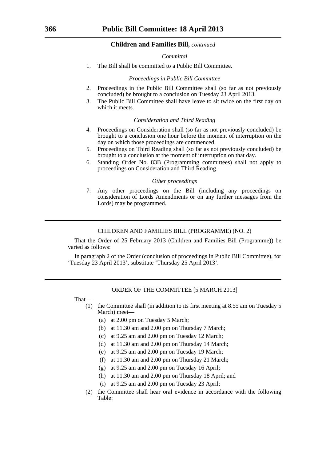*Committal*

1. The Bill shall be committed to a Public Bill Committee.

#### *Proceedings in Public Bill Committee*

- 2. Proceedings in the Public Bill Committee shall (so far as not previously concluded) be brought to a conclusion on Tuesday 23 April 2013.
- 3. The Public Bill Committee shall have leave to sit twice on the first day on which it meets.

#### *Consideration and Third Reading*

- 4. Proceedings on Consideration shall (so far as not previously concluded) be brought to a conclusion one hour before the moment of interruption on the day on which those proceedings are commenced.
- 5. Proceedings on Third Reading shall (so far as not previously concluded) be brought to a conclusion at the moment of interruption on that day.
- 6. Standing Order No. 83B (Programming committees) shall not apply to proceedings on Consideration and Third Reading.

#### *Other proceedings*

7. Any other proceedings on the Bill (including any proceedings on consideration of Lords Amendments or on any further messages from the Lords) may be programmed.

#### CHILDREN AND FAMILIES BILL (PROGRAMME) (NO. 2)

That the Order of 25 February 2013 (Children and Families Bill (Programme)) be varied as follows:

In paragraph 2 of the Order (conclusion of proceedings in Public Bill Committee), for 'Tuesday 23 April 2013', substitute 'Thursday 25 April 2013'.

#### ORDER OF THE COMMITTEE [5 MARCH 2013]

That—

- (1) the Committee shall (in addition to its first meeting at 8.55 am on Tuesday 5 March) meet—
	- (a) at 2.00 pm on Tuesday 5 March;
	- (b) at 11.30 am and 2.00 pm on Thursday 7 March;
	- (c) at 9.25 am and 2.00 pm on Tuesday 12 March;
	- (d) at 11.30 am and 2.00 pm on Thursday 14 March;
	- (e) at 9.25 am and 2.00 pm on Tuesday 19 March;
	- (f) at 11.30 am and 2.00 pm on Thursday 21 March;
	- (g) at 9.25 am and 2.00 pm on Tuesday 16 April;
	- (h) at 11.30 am and 2.00 pm on Thursday 18 April; and
	- (i) at 9.25 am and 2.00 pm on Tuesday 23 April;
- (2) the Committee shall hear oral evidence in accordance with the following Table: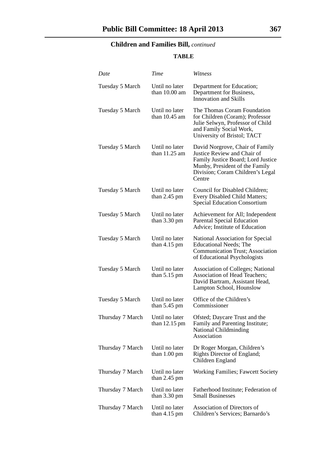## **TABLE**

| Date             | Time                                     | Witness                                                                                                                                                                              |
|------------------|------------------------------------------|--------------------------------------------------------------------------------------------------------------------------------------------------------------------------------------|
| Tuesday 5 March  | Until no later<br>than $10.00$ am        | Department for Education;<br>Department for Business,<br><b>Innovation and Skills</b>                                                                                                |
| Tuesday 5 March  | Until no later<br>than $10.45$ am        | The Thomas Coram Foundation<br>for Children (Coram); Professor<br>Julie Selwyn, Professor of Child<br>and Family Social Work,<br>University of Bristol; TACT                         |
| Tuesday 5 March  | Until no later<br>than $11.25$ am        | David Norgrove, Chair of Family<br>Justice Review and Chair of<br>Family Justice Board; Lord Justice<br>Munby, President of the Family<br>Division; Coram Children's Legal<br>Centre |
| Tuesday 5 March  | Until no later<br>than $2.45$ pm         | Council for Disabled Children;<br>Every Disabled Child Matters;<br><b>Special Education Consortium</b>                                                                               |
| Tuesday 5 March  | Until no later<br>than $3.30 \text{ pm}$ | Achievement for All; Independent<br><b>Parental Special Education</b><br>Advice; Institute of Education                                                                              |
| Tuesday 5 March  | Until no later<br>than $4.15$ pm         | National Association for Special<br><b>Educational Needs; The</b><br><b>Communication Trust</b> ; Association<br>of Educational Psychologists                                        |
| Tuesday 5 March  | Until no later<br>than $5.15$ pm         | <b>Association of Colleges; National</b><br>Association of Head Teachers;<br>David Bartram, Assistant Head,<br>Lampton School, Hounslow                                              |
| Tuesday 5 March  | Until no later<br>than $5.45$ pm         | Office of the Children's<br>Commissioner                                                                                                                                             |
| Thursday 7 March | Until no later<br>than $12.15$ pm        | Ofsted; Daycare Trust and the<br>Family and Parenting Institute;<br>National Childminding<br>Association                                                                             |
| Thursday 7 March | Until no later<br>than $1.00 \text{ pm}$ | Dr Roger Morgan, Children's<br>Rights Director of England;<br>Children England                                                                                                       |
| Thursday 7 March | Until no later<br>than $2.45$ pm         | Working Families; Fawcett Society                                                                                                                                                    |
| Thursday 7 March | Until no later<br>than $3.30 \text{ pm}$ | Fatherhood Institute; Federation of<br><b>Small Businesses</b>                                                                                                                       |
| Thursday 7 March | Until no later<br>than $4.15 \text{ pm}$ | Association of Directors of<br>Children's Services; Barnardo's                                                                                                                       |